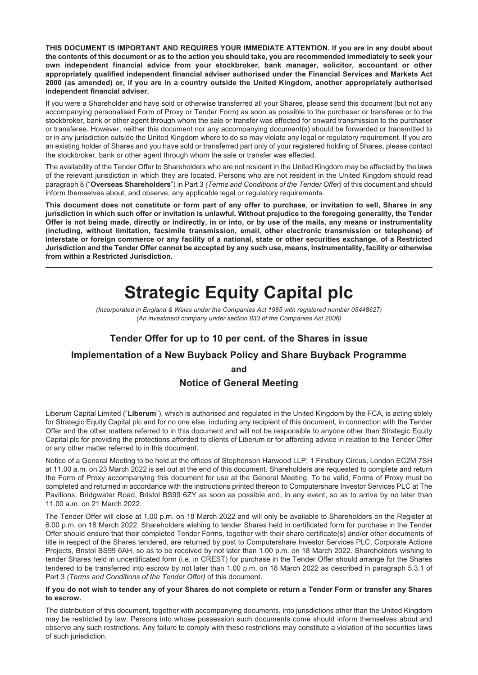**THIS DOCUMENT IS IMPORTANT AND REQUIRES YOUR IMMEDIATE ATTENTION. If you are in any doubt about** the contents of this document or as to the action you should take, you are recommended immediately to seek your **own independent financial advice from your stockbroker, bank manager, solicitor, accountant or other appropriately qualified independent financial adviser authorised under the Financial Services and Markets Act** 2000 (as amended) or, if you are in a country outside the United Kingdom, another appropriately authorised **independent financial adviser.**

If you were a Shareholder and have sold or otherwise transferred all your Shares, please send this document (but not any accompanying personalised Form of Proxy or Tender Form) as soon as possible to the purchaser or transferee or to the stockbroker, bank or other agent through whom the sale or transfer was effected for onward transmission to the purchaser or transferee. However, neither this document nor any accompanying document(s) should be forwarded or transmitted to or in any jurisdiction outside the United Kingdom where to do so may violate any legal or regulatory requirement. If you are an existing holder of Shares and you have sold or transferred part only of your registered holding of Shares, please contact the stockbroker, bank or other agent through whom the sale or transfer was effected.

The availability of the Tender Offer to Shareholders who are not resident in the United Kingdom may be affected by the laws of the relevant jurisdiction in which they are located. Persons who are not resident in the United Kingdom should read paragraph 8 ("**Overseas Shareholders**") in Part 3 *(Terms and Conditions of the Tender Offer)* of this document and should inform themselves about, and observe, any applicable legal or regulatory requirements.

This document does not constitute or form part of any offer to purchase, or invitation to sell, Shares in any jurisdiction in which such offer or invitation is unlawful. Without prejudice to the foregoing generality, the Tender Offer is not being made, directly or indirectly, in or into, or by use of the mails, any means or instrumentality **(including, without limitation, facsimile transmission, email, other electronic transmission or telephone) of** interstate or foreign commerce or any facility of a national, state or other securities exchange, of a Restricted Jurisdiction and the Tender Offer cannot be accepted by any such use, means, instrumentality, facility or otherwise **from within a Restricted Jurisdiction.**

# **Strategic Equity Capital plc**

*(Incorporated in England & Wales under the Companies Act 1985 with registered number 05448627) (An investment company under section 833 of the Companies Act 2006)*

### **Tender Offer for up to 10 per cent. of the Shares in issue**

### **Implementation of a New Buyback Policy and Share Buyback Programme**

**and**

### **Notice of General Meeting**

Liberum Capital Limited ("**Liberum**"), which is authorised and regulated in the United Kingdom by the FCA, is acting solely for Strategic Equity Capital plc and for no one else, including any recipient of this document, in connection with the Tender Offer and the other matters referred to in this document and will not be responsible to anyone other than Strategic Equity Capital plc for providing the protections afforded to clients of Liberum or for affording advice in relation to the Tender Offer or any other matter referred to in this document.

Notice of a General Meeting to be held at the offices of Stephenson Harwood LLP, 1 Finsbury Circus, London EC2M 7SH at 11.00 a.m. on 23 March 2022 is set out at the end of this document. Shareholders are requested to complete and return the Form of Proxy accompanying this document for use at the General Meeting. To be valid, Forms of Proxy must be completed and returned in accordance with the instructions printed thereon to Computershare Investor Services PLC at The Pavilions, Bridgwater Road, Bristol BS99 6ZY as soon as possible and, in any event, so as to arrive by no later than 11.00 a.m. on 21 March 2022.

The Tender Offer will close at 1.00 p.m. on 18 March 2022 and will only be available to Shareholders on the Register at 6.00 p.m. on 18 March 2022. Shareholders wishing to tender Shares held in certificated form for purchase in the Tender Offer should ensure that their completed Tender Forms, together with their share certificate(s) and/or other documents of title in respect of the Shares tendered, are returned by post to Computershare Investor Services PLC, Corporate Actions Projects, Bristol BS99 6AH, so as to be received by not later than 1.00 p.m. on 18 March 2022. Shareholders wishing to tender Shares held in uncertificated form (i.e. in CREST) for purchase in the Tender Offer should arrange for the Shares tendered to be transferred into escrow by not later than 1.00 p.m. on 18 March 2022 as described in paragraph 5.3.1 of Part 3 *(Terms and Conditions of the Tender Offer)* of this document.

#### If you do not wish to tender any of your Shares do not complete or return a Tender Form or transfer any Shares **to escrow.**

The distribution of this document, together with accompanying documents, into jurisdictions other than the United Kingdom may be restricted by law. Persons into whose possession such documents come should inform themselves about and observe any such restrictions. Any failure to comply with these restrictions may constitute a violation of the securities laws of such jurisdiction.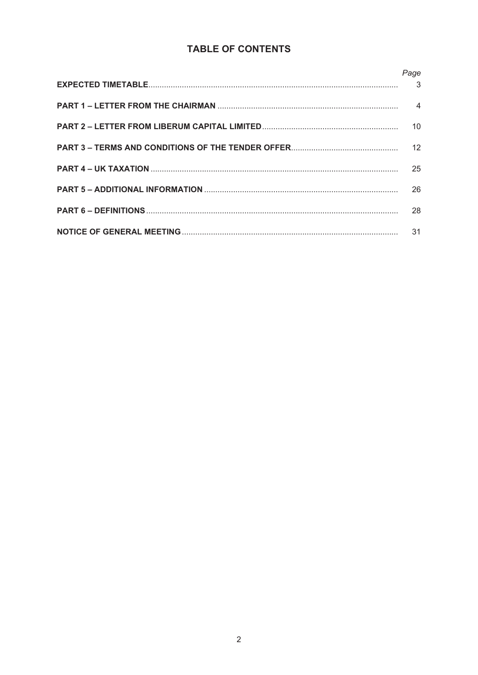### TABLE OF CONTENTS

| Page            |
|-----------------|
|                 |
| $\overline{4}$  |
| 10 <sup>1</sup> |
| 12              |
| 25              |
| 26              |
| 28              |
| 31              |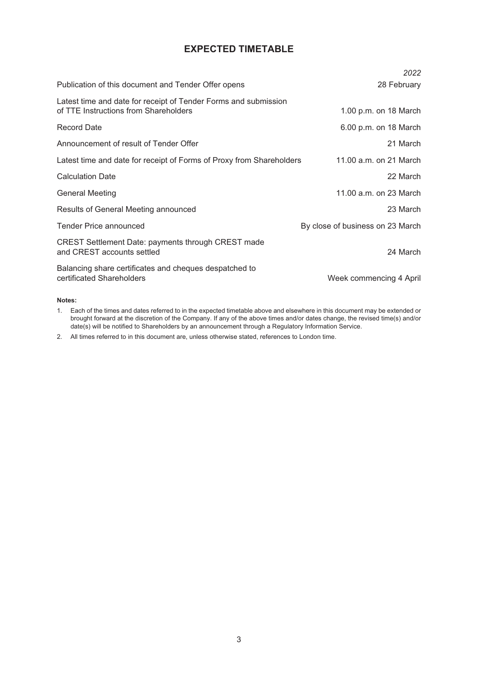### **EXPECTED TIMETABLE**

|                                                                                                          | 2022                             |
|----------------------------------------------------------------------------------------------------------|----------------------------------|
| Publication of this document and Tender Offer opens                                                      | 28 February                      |
| Latest time and date for receipt of Tender Forms and submission<br>of TTE Instructions from Shareholders | 1.00 p.m. on 18 March            |
| <b>Record Date</b>                                                                                       | 6.00 p.m. on 18 March            |
| Announcement of result of Tender Offer                                                                   | 21 March                         |
| Latest time and date for receipt of Forms of Proxy from Shareholders                                     | 11.00 a.m. on 21 March           |
| <b>Calculation Date</b>                                                                                  | 22 March                         |
| General Meeting                                                                                          | 11.00 a.m. on 23 March           |
| Results of General Meeting announced                                                                     | 23 March                         |
| <b>Tender Price announced</b>                                                                            | By close of business on 23 March |
| <b>CREST Settlement Date: payments through CREST made</b><br>and CREST accounts settled                  | 24 March                         |
| Balancing share certificates and cheques despatched to<br>certificated Shareholders                      | Week commencing 4 April          |

#### **Notes:**

1. Each of the times and dates referred to in the expected timetable above and elsewhere in this document may be extended or brought forward at the discretion of the Company. If any of the above times and/or dates change, the revised time(s) and/or date(s) will be notified to Shareholders by an announcement through a Regulatory Information Service.

2. All times referred to in this document are, unless otherwise stated, references to London time.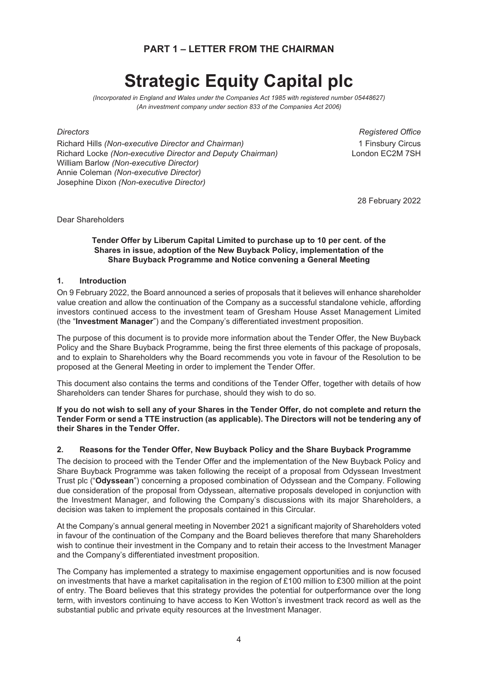### **PART 1 – LETTER FROM THE CHAIRMAN**

# **Strategic Equity Capital plc**

*(Incorporated in England and Wales under the Companies Act 1985 with registered number 05448627) (An investment company under section 833 of the Companies Act 2006)*

Richard Hills *(Non-executive Director and Chairman)* 1 Finsbury Circus **Richard Locke** *(Non-executive Director and Deputy Chairman)* William Barlow *(Non-executive Director)* Annie Coleman *(Non-executive Director)* Josephine Dixon *(Non-executive Director)*

*Directors Registered Office*

28 February 2022

Dear Shareholders

#### **Tender Offer by Liberum Capital Limited to purchase up to 10 per cent. of the Shares in issue, adoption of the New Buyback Policy, implementation of the Share Buyback Programme and Notice convening a General Meeting**

#### **1. Introduction**

On 9 February 2022, the Board announced a series of proposals that it believes will enhance shareholder value creation and allow the continuation of the Company as a successful standalone vehicle, affording investors continued access to the investment team of Gresham House Asset Management Limited (the "**Investment Manager**") and the Company's differentiated investment proposition.

The purpose of this document is to provide more information about the Tender Offer, the New Buyback Policy and the Share Buyback Programme, being the first three elements of this package of proposals, and to explain to Shareholders why the Board recommends you vote in favour of the Resolution to be proposed at the General Meeting in order to implement the Tender Offer.

This document also contains the terms and conditions of the Tender Offer, together with details of how Shareholders can tender Shares for purchase, should they wish to do so.

#### If you do not wish to sell any of your Shares in the Tender Offer, do not complete and return the **Tender Form or send a TTE instruction (as applicable). The Directors will not be tendering any of their Shares in the Tender Offer.**

#### **2. Reasons for the Tender Offer, New Buyback Policy and the Share Buyback Programme**

The decision to proceed with the Tender Offer and the implementation of the New Buyback Policy and Share Buyback Programme was taken following the receipt of a proposal from Odyssean Investment Trust plc ("**Odyssean**") concerning a proposed combination of Odyssean and the Company. Following due consideration of the proposal from Odyssean, alternative proposals developed in conjunction with the Investment Manager, and following the Company's discussions with its major Shareholders, a decision was taken to implement the proposals contained in this Circular.

At the Company's annual general meeting in November 2021 a significant majority of Shareholders voted in favour of the continuation of the Company and the Board believes therefore that many Shareholders wish to continue their investment in the Company and to retain their access to the Investment Manager and the Company's differentiated investment proposition.

The Company has implemented a strategy to maximise engagement opportunities and is now focused on investments that have a market capitalisation in the region of £100 million to £300 million at the point of entry. The Board believes that this strategy provides the potential for outperformance over the long term, with investors continuing to have access to Ken Wotton's investment track record as well as the substantial public and private equity resources at the Investment Manager.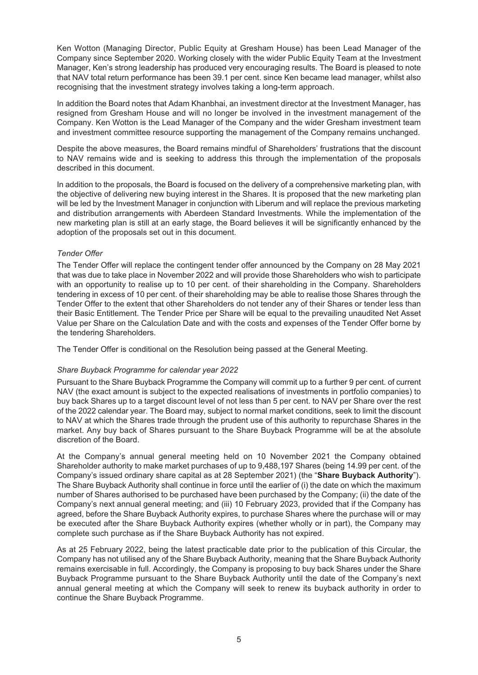Ken Wotton (Managing Director, Public Equity at Gresham House) has been Lead Manager of the Company since September 2020. Working closely with the wider Public Equity Team at the Investment Manager, Ken's strong leadership has produced very encouraging results. The Board is pleased to note that NAV total return performance has been 39.1 per cent. since Ken became lead manager, whilst also recognising that the investment strategy involves taking a long-term approach.

In addition the Board notes that Adam Khanbhai, an investment director at the Investment Manager, has resigned from Gresham House and will no longer be involved in the investment management of the Company. Ken Wotton is the Lead Manager of the Company and the wider Gresham investment team and investment committee resource supporting the management of the Company remains unchanged.

Despite the above measures, the Board remains mindful of Shareholders' frustrations that the discount to NAV remains wide and is seeking to address this through the implementation of the proposals described in this document.

In addition to the proposals, the Board is focused on the delivery of a comprehensive marketing plan, with the objective of delivering new buying interest in the Shares. It is proposed that the new marketing plan will be led by the Investment Manager in conjunction with Liberum and will replace the previous marketing and distribution arrangements with Aberdeen Standard Investments. While the implementation of the new marketing plan is still at an early stage, the Board believes it will be significantly enhanced by the adoption of the proposals set out in this document.

#### *Tender Offer*

The Tender Offer will replace the contingent tender offer announced by the Company on 28 May 2021 that was due to take place in November 2022 and will provide those Shareholders who wish to participate with an opportunity to realise up to 10 per cent. of their shareholding in the Company. Shareholders tendering in excess of 10 per cent. of their shareholding may be able to realise those Shares through the Tender Offer to the extent that other Shareholders do not tender any of their Shares or tender less than their Basic Entitlement. The Tender Price per Share will be equal to the prevailing unaudited Net Asset Value per Share on the Calculation Date and with the costs and expenses of the Tender Offer borne by the tendering Shareholders.

The Tender Offer is conditional on the Resolution being passed at the General Meeting.

#### *Share Buyback Programme for calendar year 2022*

Pursuant to the Share Buyback Programme the Company will commit up to a further 9 per cent. of current NAV (the exact amount is subject to the expected realisations of investments in portfolio companies) to buy back Shares up to a target discount level of not less than 5 per cent. to NAV per Share over the rest of the 2022 calendar year. The Board may, subject to normal market conditions, seek to limit the discount to NAV at which the Shares trade through the prudent use of this authority to repurchase Shares in the market. Any buy back of Shares pursuant to the Share Buyback Programme will be at the absolute discretion of the Board.

At the Company's annual general meeting held on 10 November 2021 the Company obtained Shareholder authority to make market purchases of up to 9,488,197 Shares (being 14.99 per cent. of the Company's issued ordinary share capital as at 28 September 2021) (the "**Share Buyback Authority**"). The Share Buyback Authority shall continue in force until the earlier of (i) the date on which the maximum number of Shares authorised to be purchased have been purchased by the Company; (ii) the date of the Company's next annual general meeting; and (iii) 10 February 2023, provided that if the Company has agreed, before the Share Buyback Authority expires, to purchase Shares where the purchase will or may be executed after the Share Buyback Authority expires (whether wholly or in part), the Company may complete such purchase as if the Share Buyback Authority has not expired.

As at 25 February 2022, being the latest practicable date prior to the publication of this Circular, the Company has not utilised any of the Share Buyback Authority, meaning that the Share Buyback Authority remains exercisable in full. Accordingly, the Company is proposing to buy back Shares under the Share Buyback Programme pursuant to the Share Buyback Authority until the date of the Company's next annual general meeting at which the Company will seek to renew its buyback authority in order to continue the Share Buyback Programme.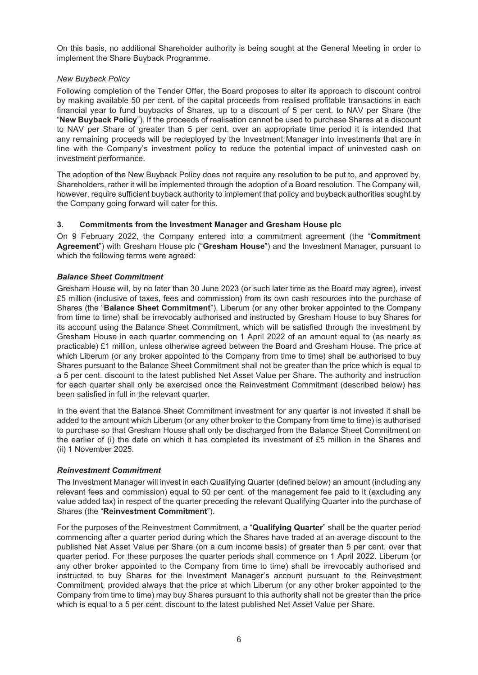On this basis, no additional Shareholder authority is being sought at the General Meeting in order to implement the Share Buyback Programme.

#### *New Buyback Policy*

Following completion of the Tender Offer, the Board proposes to alter its approach to discount control by making available 50 per cent. of the capital proceeds from realised profitable transactions in each financial year to fund buybacks of Shares, up to a discount of 5 per cent. to NAV per Share (the "**New Buyback Policy**"). If the proceeds of realisation cannot be used to purchase Shares at a discount to NAV per Share of greater than 5 per cent. over an appropriate time period it is intended that any remaining proceeds will be redeployed by the Investment Manager into investments that are in line with the Company's investment policy to reduce the potential impact of uninvested cash on investment performance.

The adoption of the New Buyback Policy does not require any resolution to be put to, and approved by, Shareholders, rather it will be implemented through the adoption of a Board resolution. The Company will, however, require sufficient buyback authority to implement that policy and buyback authorities sought by the Company going forward will cater for this.

#### **3. Commitments from the Investment Manager and Gresham House plc**

On 9 February 2022, the Company entered into a commitment agreement (the "**Commitment Agreement**") with Gresham House plc ("**Gresham House**") and the Investment Manager, pursuant to which the following terms were agreed:

#### *Balance Sheet Commitment*

Gresham House will, by no later than 30 June 2023 (or such later time as the Board may agree), invest £5 million (inclusive of taxes, fees and commission) from its own cash resources into the purchase of Shares (the "**Balance Sheet Commitment**"). Liberum (or any other broker appointed to the Company from time to time) shall be irrevocably authorised and instructed by Gresham House to buy Shares for its account using the Balance Sheet Commitment, which will be satisfied through the investment by Gresham House in each quarter commencing on 1 April 2022 of an amount equal to (as nearly as practicable) £1 million, unless otherwise agreed between the Board and Gresham House. The price at which Liberum (or any broker appointed to the Company from time to time) shall be authorised to buy Shares pursuant to the Balance Sheet Commitment shall not be greater than the price which is equal to a 5 per cent. discount to the latest published Net Asset Value per Share. The authority and instruction for each quarter shall only be exercised once the Reinvestment Commitment (described below) has been satisfied in full in the relevant quarter.

In the event that the Balance Sheet Commitment investment for any quarter is not invested it shall be added to the amount which Liberum (or any other broker to the Company from time to time) is authorised to purchase so that Gresham House shall only be discharged from the Balance Sheet Commitment on the earlier of (i) the date on which it has completed its investment of £5 million in the Shares and (ii) 1 November 2025.

#### *Reinvestment Commitment*

The Investment Manager will invest in each Qualifying Quarter (defined below) an amount (including any relevant fees and commission) equal to 50 per cent. of the management fee paid to it (excluding any value added tax) in respect of the quarter preceding the relevant Qualifying Quarter into the purchase of Shares (the "**Reinvestment Commitment**").

For the purposes of the Reinvestment Commitment, a "**Qualifying Quarter**" shall be the quarter period commencing after a quarter period during which the Shares have traded at an average discount to the published Net Asset Value per Share (on a cum income basis) of greater than 5 per cent. over that quarter period. For these purposes the quarter periods shall commence on 1 April 2022. Liberum (or any other broker appointed to the Company from time to time) shall be irrevocably authorised and instructed to buy Shares for the Investment Manager's account pursuant to the Reinvestment Commitment, provided always that the price at which Liberum (or any other broker appointed to the Company from time to time) may buy Shares pursuant to this authority shall not be greater than the price which is equal to a 5 per cent. discount to the latest published Net Asset Value per Share.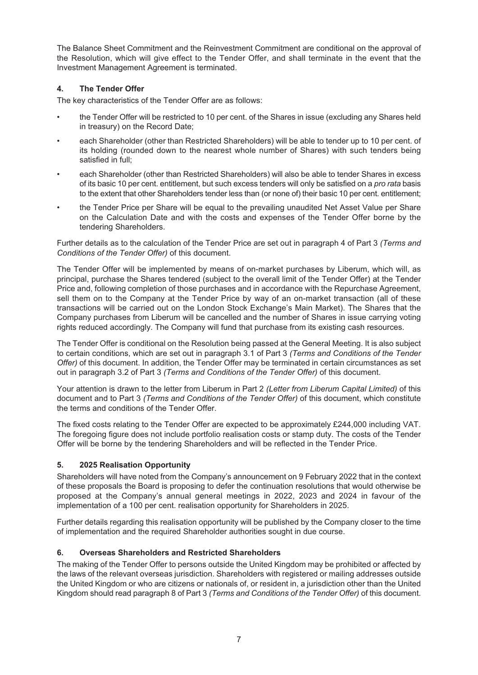The Balance Sheet Commitment and the Reinvestment Commitment are conditional on the approval of the Resolution, which will give effect to the Tender Offer, and shall terminate in the event that the Investment Management Agreement is terminated.

#### **4. The Tender Offer**

The key characteristics of the Tender Offer are as follows:

- the Tender Offer will be restricted to 10 per cent. of the Shares in issue (excluding any Shares held in treasury) on the Record Date;
- each Shareholder (other than Restricted Shareholders) will be able to tender up to 10 per cent. of its holding (rounded down to the nearest whole number of Shares) with such tenders being satisfied in full;
- each Shareholder (other than Restricted Shareholders) will also be able to tender Shares in excess of its basic 10 per cent. entitlement, but such excess tenders will only be satisfied on a *pro rata* basis to the extent that other Shareholders tender less than (or none of) their basic 10 per cent. entitlement;
- the Tender Price per Share will be equal to the prevailing unaudited Net Asset Value per Share on the Calculation Date and with the costs and expenses of the Tender Offer borne by the tendering Shareholders.

Further details as to the calculation of the Tender Price are set out in paragraph 4 of Part 3 *(Terms and Conditions of the Tender Offer)* of this document.

The Tender Offer will be implemented by means of on-market purchases by Liberum, which will, as principal, purchase the Shares tendered (subject to the overall limit of the Tender Offer) at the Tender Price and, following completion of those purchases and in accordance with the Repurchase Agreement, sell them on to the Company at the Tender Price by way of an on-market transaction (all of these transactions will be carried out on the London Stock Exchange's Main Market). The Shares that the Company purchases from Liberum will be cancelled and the number of Shares in issue carrying voting rights reduced accordingly. The Company will fund that purchase from its existing cash resources.

The Tender Offer is conditional on the Resolution being passed at the General Meeting. It is also subject to certain conditions, which are set out in paragraph 3.1 of Part 3 *(Terms and Conditions of the Tender Offer)* of this document. In addition, the Tender Offer may be terminated in certain circumstances as set out in paragraph 3.2 of Part 3 *(Terms and Conditions of the Tender Offer)* of this document.

Your attention is drawn to the letter from Liberum in Part 2 *(Letter from Liberum Capital Limited)* of this document and to Part 3 *(Terms and Conditions of the Tender Offer)* of this document, which constitute the terms and conditions of the Tender Offer.

The fixed costs relating to the Tender Offer are expected to be approximately £244,000 including VAT. The foregoing figure does not include portfolio realisation costs or stamp duty. The costs of the Tender Offer will be borne by the tendering Shareholders and will be reflected in the Tender Price.

#### **5. 2025 Realisation Opportunity**

Shareholders will have noted from the Company's announcement on 9 February 2022 that in the context of these proposals the Board is proposing to defer the continuation resolutions that would otherwise be proposed at the Company's annual general meetings in 2022, 2023 and 2024 in favour of the implementation of a 100 per cent. realisation opportunity for Shareholders in 2025.

Further details regarding this realisation opportunity will be published by the Company closer to the time of implementation and the required Shareholder authorities sought in due course.

#### **6. Overseas Shareholders and Restricted Shareholders**

The making of the Tender Offer to persons outside the United Kingdom may be prohibited or affected by the laws of the relevant overseas jurisdiction. Shareholders with registered or mailing addresses outside the United Kingdom or who are citizens or nationals of, or resident in, a jurisdiction other than the United Kingdom should read paragraph 8 of Part 3 *(Terms and Conditions of the Tender Offer)* of this document.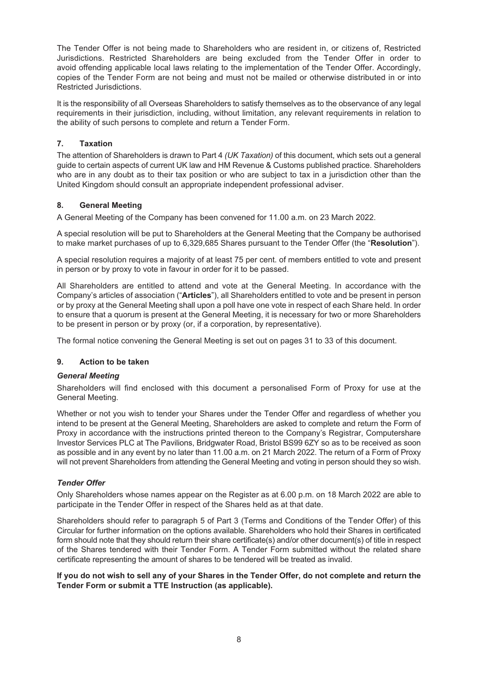The Tender Offer is not being made to Shareholders who are resident in, or citizens of, Restricted Jurisdictions. Restricted Shareholders are being excluded from the Tender Offer in order to avoid offending applicable local laws relating to the implementation of the Tender Offer. Accordingly, copies of the Tender Form are not being and must not be mailed or otherwise distributed in or into Restricted Jurisdictions.

It is the responsibility of all Overseas Shareholders to satisfy themselves as to the observance of any legal requirements in their jurisdiction, including, without limitation, any relevant requirements in relation to the ability of such persons to complete and return a Tender Form.

#### **7. Taxation**

The attention of Shareholders is drawn to Part 4 *(UK Taxation)* of this document, which sets out a general guide to certain aspects of current UK law and HM Revenue & Customs published practice. Shareholders who are in any doubt as to their tax position or who are subject to tax in a jurisdiction other than the United Kingdom should consult an appropriate independent professional adviser.

#### **8. General Meeting**

A General Meeting of the Company has been convened for 11.00 a.m. on 23 March 2022.

A special resolution will be put to Shareholders at the General Meeting that the Company be authorised to make market purchases of up to 6,329,685 Shares pursuant to the Tender Offer (the "**Resolution**").

A special resolution requires a majority of at least 75 per cent. of members entitled to vote and present in person or by proxy to vote in favour in order for it to be passed.

All Shareholders are entitled to attend and vote at the General Meeting. In accordance with the Company's articles of association ("**Articles**"), all Shareholders entitled to vote and be present in person or by proxy at the General Meeting shall upon a poll have one vote in respect of each Share held. In order to ensure that a quorum is present at the General Meeting, it is necessary for two or more Shareholders to be present in person or by proxy (or, if a corporation, by representative).

The formal notice convening the General Meeting is set out on pages 31 to 33 of this document.

#### **9. Action to be taken**

#### *General Meeting*

Shareholders will find enclosed with this document a personalised Form of Proxy for use at the General Meeting.

Whether or not you wish to tender your Shares under the Tender Offer and regardless of whether you intend to be present at the General Meeting, Shareholders are asked to complete and return the Form of Proxy in accordance with the instructions printed thereon to the Company's Registrar, Computershare Investor Services PLC at The Pavilions, Bridgwater Road, Bristol BS99 6ZY so as to be received as soon as possible and in any event by no later than 11.00 a.m. on 21 March 2022. The return of a Form of Proxy will not prevent Shareholders from attending the General Meeting and voting in person should they so wish.

#### *Tender Offer*

Only Shareholders whose names appear on the Register as at 6.00 p.m. on 18 March 2022 are able to participate in the Tender Offer in respect of the Shares held as at that date.

Shareholders should refer to paragraph 5 of Part 3 (Terms and Conditions of the Tender Offer) of this Circular for further information on the options available. Shareholders who hold their Shares in certificated form should note that they should return their share certificate(s) and/or other document(s) of title in respect of the Shares tendered with their Tender Form. A Tender Form submitted without the related share certificate representing the amount of shares to be tendered will be treated as invalid.

#### If you do not wish to sell any of your Shares in the Tender Offer, do not complete and return the **Tender Form or submit a TTE Instruction (as applicable).**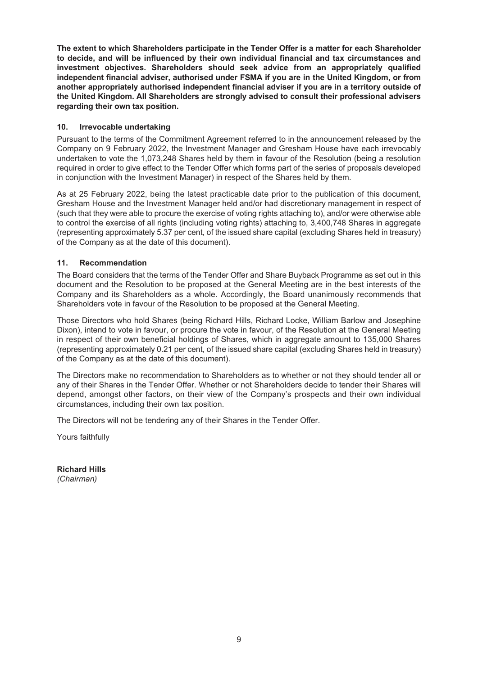**The extent to which Shareholders participate in the Tender Offer is a matter for each Shareholder to decide, and will be influenced by their own individual financial and tax circumstances and investment objectives. Shareholders should seek advice from an appropriately qualified independent financial adviser, authorised under FSMA if you are in the United Kingdom, or from another appropriately authorised independent financial adviser if you are in a territory outside of the United Kingdom. All Shareholders are strongly advised to consult their professional advisers regarding their own tax position.**

#### **10. Irrevocable undertaking**

Pursuant to the terms of the Commitment Agreement referred to in the announcement released by the Company on 9 February 2022, the Investment Manager and Gresham House have each irrevocably undertaken to vote the 1,073,248 Shares held by them in favour of the Resolution (being a resolution required in order to give effect to the Tender Offer which forms part of the series of proposals developed in conjunction with the Investment Manager) in respect of the Shares held by them.

As at 25 February 2022, being the latest practicable date prior to the publication of this document, Gresham House and the Investment Manager held and/or had discretionary management in respect of (such that they were able to procure the exercise of voting rights attaching to), and/or were otherwise able to control the exercise of all rights (including voting rights) attaching to, 3,400,748 Shares in aggregate (representing approximately 5.37 per cent, of the issued share capital (excluding Shares held in treasury) of the Company as at the date of this document).

#### **11. Recommendation**

The Board considers that the terms of the Tender Offer and Share Buyback Programme as set out in this document and the Resolution to be proposed at the General Meeting are in the best interests of the Company and its Shareholders as a whole. Accordingly, the Board unanimously recommends that Shareholders vote in favour of the Resolution to be proposed at the General Meeting.

Those Directors who hold Shares (being Richard Hills, Richard Locke, William Barlow and Josephine Dixon), intend to vote in favour, or procure the vote in favour, of the Resolution at the General Meeting in respect of their own beneficial holdings of Shares, which in aggregate amount to 135,000 Shares (representing approximately 0.21 per cent, of the issued share capital (excluding Shares held in treasury) of the Company as at the date of this document).

The Directors make no recommendation to Shareholders as to whether or not they should tender all or any of their Shares in the Tender Offer. Whether or not Shareholders decide to tender their Shares will depend, amongst other factors, on their view of the Company's prospects and their own individual circumstances, including their own tax position.

The Directors will not be tendering any of their Shares in the Tender Offer.

Yours faithfully

**Richard Hills** *(Chairman)*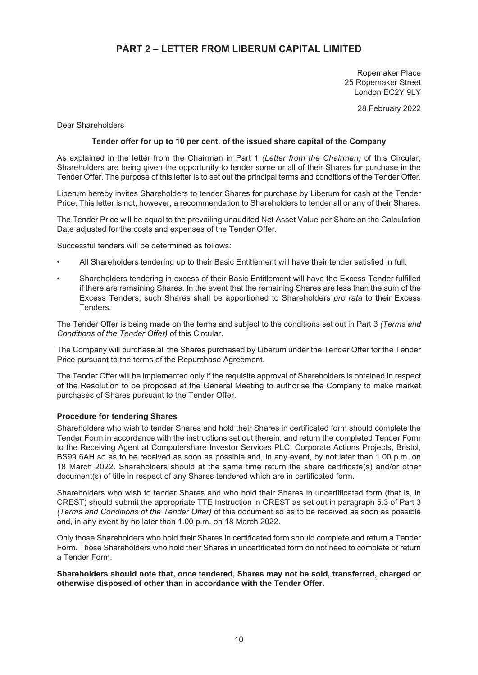### **PART 2 – LETTER FROM LIBERUM CAPITAL LIMITED**

Ropemaker Place 25 Ropemaker Street London EC2Y 9LY

28 February 2022

Dear Shareholders

#### **Tender offer for up to 10 per cent. of the issued share capital of the Company**

As explained in the letter from the Chairman in Part 1 *(Letter from the Chairman)* of this Circular, Shareholders are being given the opportunity to tender some or all of their Shares for purchase in the Tender Offer. The purpose of this letter is to set out the principal terms and conditions of the Tender Offer.

Liberum hereby invites Shareholders to tender Shares for purchase by Liberum for cash at the Tender Price. This letter is not, however, a recommendation to Shareholders to tender all or any of their Shares.

The Tender Price will be equal to the prevailing unaudited Net Asset Value per Share on the Calculation Date adjusted for the costs and expenses of the Tender Offer.

Successful tenders will be determined as follows:

- All Shareholders tendering up to their Basic Entitlement will have their tender satisfied in full.
- Shareholders tendering in excess of their Basic Entitlement will have the Excess Tender fulfilled if there are remaining Shares. In the event that the remaining Shares are less than the sum of the Excess Tenders, such Shares shall be apportioned to Shareholders *pro rata* to their Excess Tenders.

The Tender Offer is being made on the terms and subject to the conditions set out in Part 3 *(Terms and Conditions of the Tender Offer)* of this Circular.

The Company will purchase all the Shares purchased by Liberum under the Tender Offer for the Tender Price pursuant to the terms of the Repurchase Agreement.

The Tender Offer will be implemented only if the requisite approval of Shareholders is obtained in respect of the Resolution to be proposed at the General Meeting to authorise the Company to make market purchases of Shares pursuant to the Tender Offer.

#### **Procedure for tendering Shares**

Shareholders who wish to tender Shares and hold their Shares in certificated form should complete the Tender Form in accordance with the instructions set out therein, and return the completed Tender Form to the Receiving Agent at Computershare Investor Services PLC, Corporate Actions Projects, Bristol, BS99 6AH so as to be received as soon as possible and, in any event, by not later than 1.00 p.m. on 18 March 2022. Shareholders should at the same time return the share certificate(s) and/or other document(s) of title in respect of any Shares tendered which are in certificated form.

Shareholders who wish to tender Shares and who hold their Shares in uncertificated form (that is, in CREST) should submit the appropriate TTE Instruction in CREST as set out in paragraph 5.3 of Part 3 *(Terms and Conditions of the Tender Offer)* of this document so as to be received as soon as possible and, in any event by no later than 1.00 p.m. on 18 March 2022.

Only those Shareholders who hold their Shares in certificated form should complete and return a Tender Form. Those Shareholders who hold their Shares in uncertificated form do not need to complete or return a Tender Form.

**Shareholders should note that, once tendered, Shares may not be sold, transferred, charged or otherwise disposed of other than in accordance with the Tender Offer.**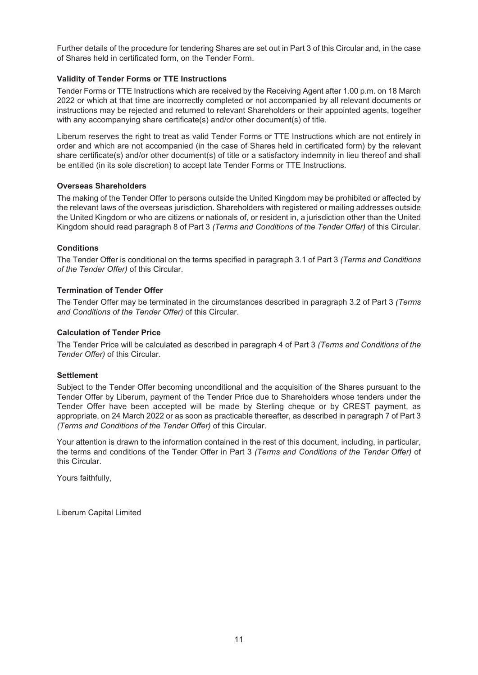Further details of the procedure for tendering Shares are set out in Part 3 of this Circular and, in the case of Shares held in certificated form, on the Tender Form.

#### **Validity of Tender Forms or TTE Instructions**

Tender Forms or TTE Instructions which are received by the Receiving Agent after 1.00 p.m. on 18 March 2022 or which at that time are incorrectly completed or not accompanied by all relevant documents or instructions may be rejected and returned to relevant Shareholders or their appointed agents, together with any accompanying share certificate(s) and/or other document(s) of title.

Liberum reserves the right to treat as valid Tender Forms or TTE Instructions which are not entirely in order and which are not accompanied (in the case of Shares held in certificated form) by the relevant share certificate(s) and/or other document(s) of title or a satisfactory indemnity in lieu thereof and shall be entitled (in its sole discretion) to accept late Tender Forms or TTE Instructions.

#### **Overseas Shareholders**

The making of the Tender Offer to persons outside the United Kingdom may be prohibited or affected by the relevant laws of the overseas jurisdiction. Shareholders with registered or mailing addresses outside the United Kingdom or who are citizens or nationals of, or resident in, a jurisdiction other than the United Kingdom should read paragraph 8 of Part 3 *(Terms and Conditions of the Tender Offer)* of this Circular.

#### **Conditions**

The Tender Offer is conditional on the terms specified in paragraph 3.1 of Part 3 *(Terms and Conditions of the Tender Offer)* of this Circular.

#### **Termination of Tender Offer**

The Tender Offer may be terminated in the circumstances described in paragraph 3.2 of Part 3 *(Terms and Conditions of the Tender Offer)* of this Circular.

#### **Calculation of Tender Price**

The Tender Price will be calculated as described in paragraph 4 of Part 3 *(Terms and Conditions of the Tender Offer)* of this Circular.

#### **Settlement**

Subject to the Tender Offer becoming unconditional and the acquisition of the Shares pursuant to the Tender Offer by Liberum, payment of the Tender Price due to Shareholders whose tenders under the Tender Offer have been accepted will be made by Sterling cheque or by CREST payment, as appropriate, on 24 March 2022 or as soon as practicable thereafter, as described in paragraph 7 of Part 3 *(Terms and Conditions of the Tender Offer)* of this Circular.

Your attention is drawn to the information contained in the rest of this document, including, in particular, the terms and conditions of the Tender Offer in Part 3 *(Terms and Conditions of the Tender Offer)* of this Circular.

Yours faithfully,

Liberum Capital Limited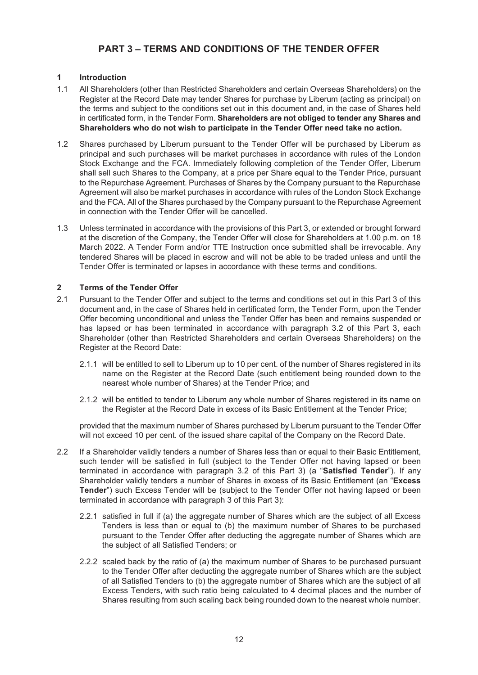### **PART 3 – TERMS AND CONDITIONS OF THE TENDER OFFER**

#### **1 Introduction**

- 1.1 All Shareholders (other than Restricted Shareholders and certain Overseas Shareholders) on the Register at the Record Date may tender Shares for purchase by Liberum (acting as principal) on the terms and subject to the conditions set out in this document and, in the case of Shares held in certificated form, in the Tender Form. **Shareholders are not obliged to tender any Shares and Shareholders who do not wish to participate in the Tender Offer need take no action.**
- 1.2 Shares purchased by Liberum pursuant to the Tender Offer will be purchased by Liberum as principal and such purchases will be market purchases in accordance with rules of the London Stock Exchange and the FCA. Immediately following completion of the Tender Offer, Liberum shall sell such Shares to the Company, at a price per Share equal to the Tender Price, pursuant to the Repurchase Agreement. Purchases of Shares by the Company pursuant to the Repurchase Agreement will also be market purchases in accordance with rules of the London Stock Exchange and the FCA. All of the Shares purchased by the Company pursuant to the Repurchase Agreement in connection with the Tender Offer will be cancelled.
- 1.3 Unless terminated in accordance with the provisions of this Part 3, or extended or brought forward at the discretion of the Company, the Tender Offer will close for Shareholders at 1.00 p.m. on 18 March 2022. A Tender Form and/or TTE Instruction once submitted shall be irrevocable. Any tendered Shares will be placed in escrow and will not be able to be traded unless and until the Tender Offer is terminated or lapses in accordance with these terms and conditions.

#### **2 Terms of the Tender Offer**

- 2.1 Pursuant to the Tender Offer and subject to the terms and conditions set out in this Part 3 of this document and, in the case of Shares held in certificated form, the Tender Form, upon the Tender Offer becoming unconditional and unless the Tender Offer has been and remains suspended or has lapsed or has been terminated in accordance with paragraph 3.2 of this Part 3, each Shareholder (other than Restricted Shareholders and certain Overseas Shareholders) on the Register at the Record Date:
	- 2.1.1 will be entitled to sell to Liberum up to 10 per cent. of the number of Shares registered in its name on the Register at the Record Date (such entitlement being rounded down to the nearest whole number of Shares) at the Tender Price; and
	- 2.1.2 will be entitled to tender to Liberum any whole number of Shares registered in its name on the Register at the Record Date in excess of its Basic Entitlement at the Tender Price;

provided that the maximum number of Shares purchased by Liberum pursuant to the Tender Offer will not exceed 10 per cent. of the issued share capital of the Company on the Record Date.

- 2.2 If a Shareholder validly tenders a number of Shares less than or equal to their Basic Entitlement, such tender will be satisfied in full (subject to the Tender Offer not having lapsed or been terminated in accordance with paragraph 3.2 of this Part 3) (a "**Satisfied Tender**"). If any Shareholder validly tenders a number of Shares in excess of its Basic Entitlement (an "**Excess Tender**") such Excess Tender will be (subject to the Tender Offer not having lapsed or been terminated in accordance with paragraph 3 of this Part 3):
	- 2.2.1 satisfied in full if (a) the aggregate number of Shares which are the subject of all Excess Tenders is less than or equal to (b) the maximum number of Shares to be purchased pursuant to the Tender Offer after deducting the aggregate number of Shares which are the subject of all Satisfied Tenders; or
	- 2.2.2 scaled back by the ratio of (a) the maximum number of Shares to be purchased pursuant to the Tender Offer after deducting the aggregate number of Shares which are the subject of all Satisfied Tenders to (b) the aggregate number of Shares which are the subject of all Excess Tenders, with such ratio being calculated to 4 decimal places and the number of Shares resulting from such scaling back being rounded down to the nearest whole number.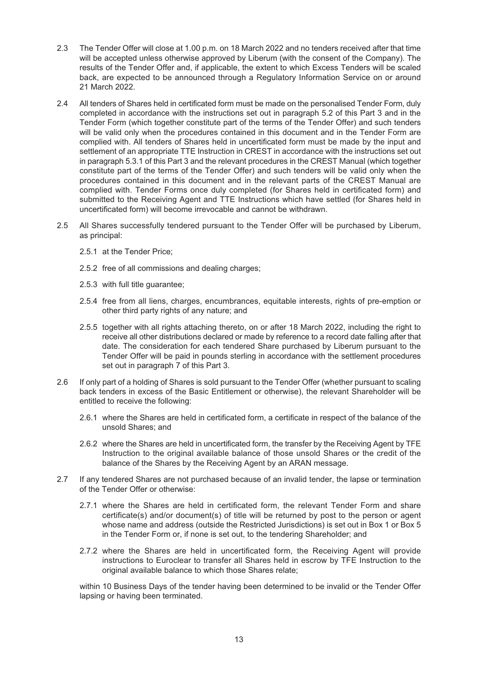- 2.3 The Tender Offer will close at 1.00 p.m. on 18 March 2022 and no tenders received after that time will be accepted unless otherwise approved by Liberum (with the consent of the Company). The results of the Tender Offer and, if applicable, the extent to which Excess Tenders will be scaled back, are expected to be announced through a Regulatory Information Service on or around 21 March 2022.
- 2.4 All tenders of Shares held in certificated form must be made on the personalised Tender Form, duly completed in accordance with the instructions set out in paragraph 5.2 of this Part 3 and in the Tender Form (which together constitute part of the terms of the Tender Offer) and such tenders will be valid only when the procedures contained in this document and in the Tender Form are complied with. All tenders of Shares held in uncertificated form must be made by the input and settlement of an appropriate TTE Instruction in CREST in accordance with the instructions set out in paragraph 5.3.1 of this Part 3 and the relevant procedures in the CREST Manual (which together constitute part of the terms of the Tender Offer) and such tenders will be valid only when the procedures contained in this document and in the relevant parts of the CREST Manual are complied with. Tender Forms once duly completed (for Shares held in certificated form) and submitted to the Receiving Agent and TTE Instructions which have settled (for Shares held in uncertificated form) will become irrevocable and cannot be withdrawn.
- 2.5 All Shares successfully tendered pursuant to the Tender Offer will be purchased by Liberum, as principal:
	- 2.5.1 at the Tender Price;
	- 2.5.2 free of all commissions and dealing charges;
	- 2.5.3 with full title guarantee;
	- 2.5.4 free from all liens, charges, encumbrances, equitable interests, rights of pre-emption or other third party rights of any nature; and
	- 2.5.5 together with all rights attaching thereto, on or after 18 March 2022, including the right to receive all other distributions declared or made by reference to a record date falling after that date. The consideration for each tendered Share purchased by Liberum pursuant to the Tender Offer will be paid in pounds sterling in accordance with the settlement procedures set out in paragraph 7 of this Part 3.
- 2.6 If only part of a holding of Shares is sold pursuant to the Tender Offer (whether pursuant to scaling back tenders in excess of the Basic Entitlement or otherwise), the relevant Shareholder will be entitled to receive the following:
	- 2.6.1 where the Shares are held in certificated form, a certificate in respect of the balance of the unsold Shares; and
	- 2.6.2 where the Shares are held in uncertificated form, the transfer by the Receiving Agent by TFE Instruction to the original available balance of those unsold Shares or the credit of the balance of the Shares by the Receiving Agent by an ARAN message.
- 2.7 If any tendered Shares are not purchased because of an invalid tender, the lapse or termination of the Tender Offer or otherwise:
	- 2.7.1 where the Shares are held in certificated form, the relevant Tender Form and share certificate(s) and/or document(s) of title will be returned by post to the person or agent whose name and address (outside the Restricted Jurisdictions) is set out in Box 1 or Box 5 in the Tender Form or, if none is set out, to the tendering Shareholder; and
	- 2.7.2 where the Shares are held in uncertificated form, the Receiving Agent will provide instructions to Euroclear to transfer all Shares held in escrow by TFE Instruction to the original available balance to which those Shares relate;

within 10 Business Days of the tender having been determined to be invalid or the Tender Offer lapsing or having been terminated.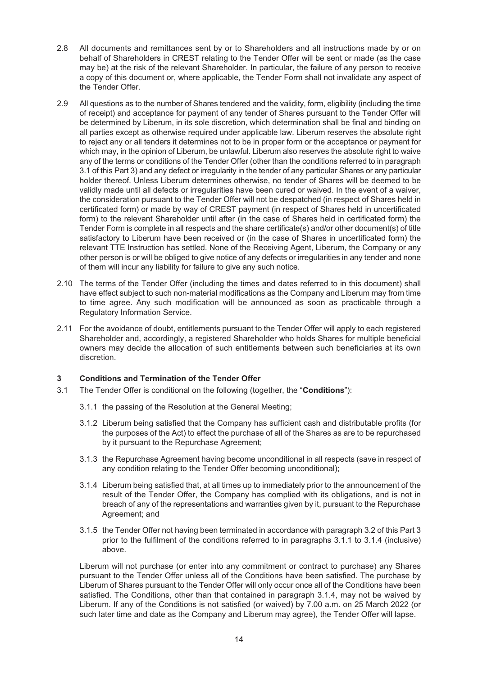- 2.8 All documents and remittances sent by or to Shareholders and all instructions made by or on behalf of Shareholders in CREST relating to the Tender Offer will be sent or made (as the case may be) at the risk of the relevant Shareholder. In particular, the failure of any person to receive a copy of this document or, where applicable, the Tender Form shall not invalidate any aspect of the Tender Offer.
- 2.9 All questions as to the number of Shares tendered and the validity, form, eligibility (including the time of receipt) and acceptance for payment of any tender of Shares pursuant to the Tender Offer will be determined by Liberum, in its sole discretion, which determination shall be final and binding on all parties except as otherwise required under applicable law. Liberum reserves the absolute right to reject any or all tenders it determines not to be in proper form or the acceptance or payment for which may, in the opinion of Liberum, be unlawful. Liberum also reserves the absolute right to waive any of the terms or conditions of the Tender Offer (other than the conditions referred to in paragraph 3.1 of this Part 3) and any defect or irregularity in the tender of any particular Shares or any particular holder thereof. Unless Liberum determines otherwise, no tender of Shares will be deemed to be validly made until all defects or irregularities have been cured or waived. In the event of a waiver, the consideration pursuant to the Tender Offer will not be despatched (in respect of Shares held in certificated form) or made by way of CREST payment (in respect of Shares held in uncertificated form) to the relevant Shareholder until after (in the case of Shares held in certificated form) the Tender Form is complete in all respects and the share certificate(s) and/or other document(s) of title satisfactory to Liberum have been received or (in the case of Shares in uncertificated form) the relevant TTE Instruction has settled. None of the Receiving Agent, Liberum, the Company or any other person is or will be obliged to give notice of any defects or irregularities in any tender and none of them will incur any liability for failure to give any such notice.
- 2.10 The terms of the Tender Offer (including the times and dates referred to in this document) shall have effect subject to such non-material modifications as the Company and Liberum may from time to time agree. Any such modification will be announced as soon as practicable through a Regulatory Information Service.
- 2.11 For the avoidance of doubt, entitlements pursuant to the Tender Offer will apply to each registered Shareholder and, accordingly, a registered Shareholder who holds Shares for multiple beneficial owners may decide the allocation of such entitlements between such beneficiaries at its own discretion.

#### **3 Conditions and Termination of the Tender Offer**

- 3.1 The Tender Offer is conditional on the following (together, the "**Conditions**"):
	- 3.1.1 the passing of the Resolution at the General Meeting;
	- 3.1.2 Liberum being satisfied that the Company has sufficient cash and distributable profits (for the purposes of the Act) to effect the purchase of all of the Shares as are to be repurchased by it pursuant to the Repurchase Agreement;
	- 3.1.3 the Repurchase Agreement having become unconditional in all respects (save in respect of any condition relating to the Tender Offer becoming unconditional);
	- 3.1.4 Liberum being satisfied that, at all times up to immediately prior to the announcement of the result of the Tender Offer, the Company has complied with its obligations, and is not in breach of any of the representations and warranties given by it, pursuant to the Repurchase Agreement; and
	- 3.1.5 the Tender Offer not having been terminated in accordance with paragraph 3.2 of this Part 3 prior to the fulfilment of the conditions referred to in paragraphs 3.1.1 to 3.1.4 (inclusive) above.

Liberum will not purchase (or enter into any commitment or contract to purchase) any Shares pursuant to the Tender Offer unless all of the Conditions have been satisfied. The purchase by Liberum of Shares pursuant to the Tender Offer will only occur once all of the Conditions have been satisfied. The Conditions, other than that contained in paragraph 3.1.4, may not be waived by Liberum. If any of the Conditions is not satisfied (or waived) by 7.00 a.m. on 25 March 2022 (or such later time and date as the Company and Liberum may agree), the Tender Offer will lapse.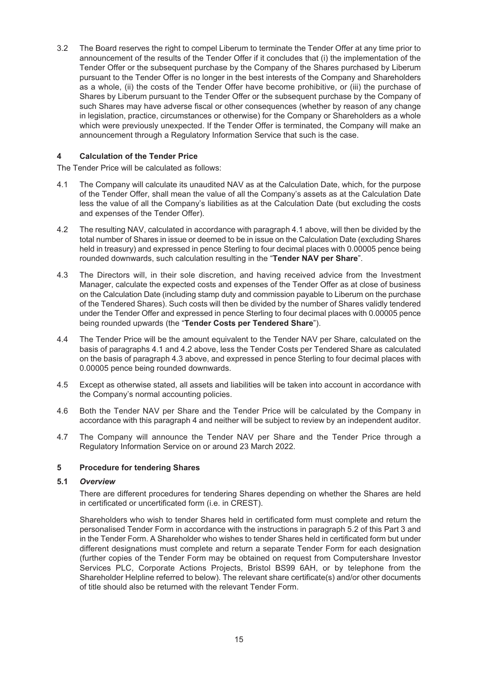3.2 The Board reserves the right to compel Liberum to terminate the Tender Offer at any time prior to announcement of the results of the Tender Offer if it concludes that (i) the implementation of the Tender Offer or the subsequent purchase by the Company of the Shares purchased by Liberum pursuant to the Tender Offer is no longer in the best interests of the Company and Shareholders as a whole, (ii) the costs of the Tender Offer have become prohibitive, or (iii) the purchase of Shares by Liberum pursuant to the Tender Offer or the subsequent purchase by the Company of such Shares may have adverse fiscal or other consequences (whether by reason of any change in legislation, practice, circumstances or otherwise) for the Company or Shareholders as a whole which were previously unexpected. If the Tender Offer is terminated, the Company will make an announcement through a Regulatory Information Service that such is the case.

#### **4 Calculation of the Tender Price**

The Tender Price will be calculated as follows:

- 4.1 The Company will calculate its unaudited NAV as at the Calculation Date, which, for the purpose of the Tender Offer, shall mean the value of all the Company's assets as at the Calculation Date less the value of all the Company's liabilities as at the Calculation Date (but excluding the costs and expenses of the Tender Offer).
- 4.2 The resulting NAV, calculated in accordance with paragraph 4.1 above, will then be divided by the total number of Shares in issue or deemed to be in issue on the Calculation Date (excluding Shares held in treasury) and expressed in pence Sterling to four decimal places with 0.00005 pence being rounded downwards, such calculation resulting in the "**Tender NAV per Share**".
- 4.3 The Directors will, in their sole discretion, and having received advice from the Investment Manager, calculate the expected costs and expenses of the Tender Offer as at close of business on the Calculation Date (including stamp duty and commission payable to Liberum on the purchase of the Tendered Shares). Such costs will then be divided by the number of Shares validly tendered under the Tender Offer and expressed in pence Sterling to four decimal places with 0.00005 pence being rounded upwards (the "**Tender Costs per Tendered Share**").
- 4.4 The Tender Price will be the amount equivalent to the Tender NAV per Share, calculated on the basis of paragraphs 4.1 and 4.2 above, less the Tender Costs per Tendered Share as calculated on the basis of paragraph 4.3 above, and expressed in pence Sterling to four decimal places with 0.00005 pence being rounded downwards.
- 4.5 Except as otherwise stated, all assets and liabilities will be taken into account in accordance with the Company's normal accounting policies.
- 4.6 Both the Tender NAV per Share and the Tender Price will be calculated by the Company in accordance with this paragraph 4 and neither will be subject to review by an independent auditor.
- 4.7 The Company will announce the Tender NAV per Share and the Tender Price through a Regulatory Information Service on or around 23 March 2022.

#### **5 Procedure for tendering Shares**

#### **5.1** *Overview*

There are different procedures for tendering Shares depending on whether the Shares are held in certificated or uncertificated form (i.e. in CREST).

Shareholders who wish to tender Shares held in certificated form must complete and return the personalised Tender Form in accordance with the instructions in paragraph 5.2 of this Part 3 and in the Tender Form. A Shareholder who wishes to tender Shares held in certificated form but under different designations must complete and return a separate Tender Form for each designation (further copies of the Tender Form may be obtained on request from Computershare Investor Services PLC, Corporate Actions Projects, Bristol BS99 6AH, or by telephone from the Shareholder Helpline referred to below). The relevant share certificate(s) and/or other documents of title should also be returned with the relevant Tender Form.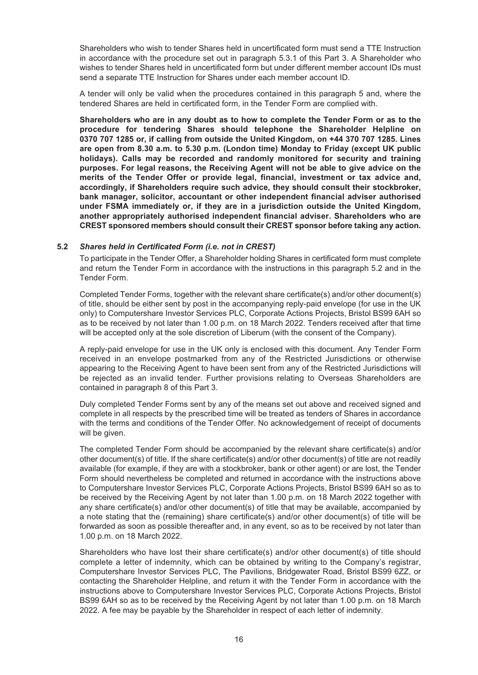Shareholders who wish to tender Shares held in uncertificated form must send a TTE Instruction in accordance with the procedure set out in paragraph 5.3.1 of this Part 3. A Shareholder who wishes to tender Shares held in uncertificated form but under different member account IDs must send a separate TTE Instruction for Shares under each member account ID.

A tender will only be valid when the procedures contained in this paragraph 5 and, where the tendered Shares are held in certificated form, in the Tender Form are complied with.

**Shareholders who are in any doubt as to how to complete the Tender Form or as to the procedure for tendering Shares should telephone the Shareholder Helpline on 0370 707 1285 or, if calling from outside the United Kingdom, on +44 370 707 1285. Lines are open from 8.30 a.m. to 5.30 p.m. (London time) Monday to Friday (except UK public holidays). Calls may be recorded and randomly monitored for security and training purposes. For legal reasons, the Receiving Agent will not be able to give advice on the merits of the Tender Offer or provide legal, financial, investment or tax advice and, accordingly, if Shareholders require such advice, they should consult their stockbroker, bank manager, solicitor, accountant or other independent financial adviser authorised under FSMA immediately or, if they are in a jurisdiction outside the United Kingdom, another appropriately authorised independent financial adviser. Shareholders who are CREST sponsored members should consult their CREST sponsor before taking any action.**

#### **5.2** *Shares held in Certificated Form (i.e. not in CREST)*

To participate in the Tender Offer, a Shareholder holding Shares in certificated form must complete and return the Tender Form in accordance with the instructions in this paragraph 5.2 and in the Tender Form.

Completed Tender Forms, together with the relevant share certificate(s) and/or other document(s) of title, should be either sent by post in the accompanying reply-paid envelope (for use in the UK only) to Computershare Investor Services PLC, Corporate Actions Projects, Bristol BS99 6AH so as to be received by not later than 1.00 p.m. on 18 March 2022. Tenders received after that time will be accepted only at the sole discretion of Liberum (with the consent of the Company).

A reply-paid envelope for use in the UK only is enclosed with this document. Any Tender Form received in an envelope postmarked from any of the Restricted Jurisdictions or otherwise appearing to the Receiving Agent to have been sent from any of the Restricted Jurisdictions will be rejected as an invalid tender. Further provisions relating to Overseas Shareholders are contained in paragraph 8 of this Part 3.

Duly completed Tender Forms sent by any of the means set out above and received signed and complete in all respects by the prescribed time will be treated as tenders of Shares in accordance with the terms and conditions of the Tender Offer. No acknowledgement of receipt of documents will be given.

The completed Tender Form should be accompanied by the relevant share certificate(s) and/or other document(s) of title. If the share certificate(s) and/or other document(s) of title are not readily available (for example, if they are with a stockbroker, bank or other agent) or are lost, the Tender Form should nevertheless be completed and returned in accordance with the instructions above to Computershare Investor Services PLC, Corporate Actions Projects, Bristol BS99 6AH so as to be received by the Receiving Agent by not later than 1.00 p.m. on 18 March 2022 together with any share certificate(s) and/or other document(s) of title that may be available, accompanied by a note stating that the (remaining) share certificate(s) and/or other document(s) of title will be forwarded as soon as possible thereafter and, in any event, so as to be received by not later than 1.00 p.m. on 18 March 2022.

Shareholders who have lost their share certificate(s) and/or other document(s) of title should complete a letter of indemnity, which can be obtained by writing to the Company's registrar, Computershare Investor Services PLC, The Pavilions, Bridgewater Road, Bristol BS99 6ZZ, or contacting the Shareholder Helpline, and return it with the Tender Form in accordance with the instructions above to Computershare Investor Services PLC, Corporate Actions Projects, Bristol BS99 6AH so as to be received by the Receiving Agent by not later than 1.00 p.m. on 18 March 2022. A fee may be payable by the Shareholder in respect of each letter of indemnity.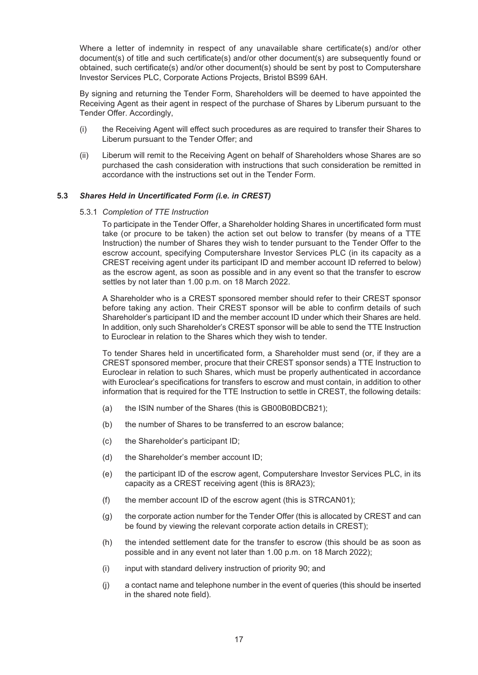Where a letter of indemnity in respect of any unavailable share certificate(s) and/or other document(s) of title and such certificate(s) and/or other document(s) are subsequently found or obtained, such certificate(s) and/or other document(s) should be sent by post to Computershare Investor Services PLC, Corporate Actions Projects, Bristol BS99 6AH.

By signing and returning the Tender Form, Shareholders will be deemed to have appointed the Receiving Agent as their agent in respect of the purchase of Shares by Liberum pursuant to the Tender Offer. Accordingly,

- (i) the Receiving Agent will effect such procedures as are required to transfer their Shares to Liberum pursuant to the Tender Offer; and
- (ii) Liberum will remit to the Receiving Agent on behalf of Shareholders whose Shares are so purchased the cash consideration with instructions that such consideration be remitted in accordance with the instructions set out in the Tender Form.

#### **5.3** *Shares Held in Uncertificated Form (i.e. in CREST)*

#### 5.3.1 *Completion of TTE Instruction*

To participate in the Tender Offer, a Shareholder holding Shares in uncertificated form must take (or procure to be taken) the action set out below to transfer (by means of a TTE Instruction) the number of Shares they wish to tender pursuant to the Tender Offer to the escrow account, specifying Computershare Investor Services PLC (in its capacity as a CREST receiving agent under its participant ID and member account ID referred to below) as the escrow agent, as soon as possible and in any event so that the transfer to escrow settles by not later than 1.00 p.m. on 18 March 2022.

A Shareholder who is a CREST sponsored member should refer to their CREST sponsor before taking any action. Their CREST sponsor will be able to confirm details of such Shareholder's participant ID and the member account ID under which their Shares are held. In addition, only such Shareholder's CREST sponsor will be able to send the TTE Instruction to Euroclear in relation to the Shares which they wish to tender.

To tender Shares held in uncertificated form, a Shareholder must send (or, if they are a CREST sponsored member, procure that their CREST sponsor sends) a TTE Instruction to Euroclear in relation to such Shares, which must be properly authenticated in accordance with Euroclear's specifications for transfers to escrow and must contain, in addition to other information that is required for the TTE Instruction to settle in CREST, the following details:

- (a) the ISIN number of the Shares (this is GB00B0BDCB21);
- (b) the number of Shares to be transferred to an escrow balance;
- (c) the Shareholder's participant ID;
- (d) the Shareholder's member account ID;
- (e) the participant ID of the escrow agent, Computershare Investor Services PLC, in its capacity as a CREST receiving agent (this is 8RA23);
- (f) the member account ID of the escrow agent (this is STRCAN01);
- (g) the corporate action number for the Tender Offer (this is allocated by CREST and can be found by viewing the relevant corporate action details in CREST);
- (h) the intended settlement date for the transfer to escrow (this should be as soon as possible and in any event not later than 1.00 p.m. on 18 March 2022);
- (i) input with standard delivery instruction of priority 90; and
- (j) a contact name and telephone number in the event of queries (this should be inserted in the shared note field).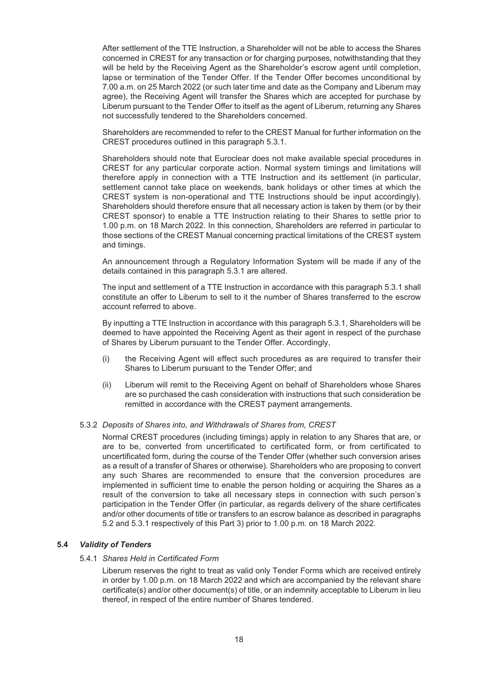After settlement of the TTE Instruction, a Shareholder will not be able to access the Shares concerned in CREST for any transaction or for charging purposes, notwithstanding that they will be held by the Receiving Agent as the Shareholder's escrow agent until completion, lapse or termination of the Tender Offer. If the Tender Offer becomes unconditional by 7.00 a.m. on 25 March 2022 (or such later time and date as the Company and Liberum may agree), the Receiving Agent will transfer the Shares which are accepted for purchase by Liberum pursuant to the Tender Offer to itself as the agent of Liberum, returning any Shares not successfully tendered to the Shareholders concerned.

Shareholders are recommended to refer to the CREST Manual for further information on the CREST procedures outlined in this paragraph 5.3.1.

Shareholders should note that Euroclear does not make available special procedures in CREST for any particular corporate action. Normal system timings and limitations will therefore apply in connection with a TTE Instruction and its settlement (in particular, settlement cannot take place on weekends, bank holidays or other times at which the CREST system is non-operational and TTE Instructions should be input accordingly). Shareholders should therefore ensure that all necessary action is taken by them (or by their CREST sponsor) to enable a TTE Instruction relating to their Shares to settle prior to 1.00 p.m. on 18 March 2022. In this connection, Shareholders are referred in particular to those sections of the CREST Manual concerning practical limitations of the CREST system and timings.

An announcement through a Regulatory Information System will be made if any of the details contained in this paragraph 5.3.1 are altered.

The input and settlement of a TTE Instruction in accordance with this paragraph 5.3.1 shall constitute an offer to Liberum to sell to it the number of Shares transferred to the escrow account referred to above.

By inputting a TTE Instruction in accordance with this paragraph 5.3.1, Shareholders will be deemed to have appointed the Receiving Agent as their agent in respect of the purchase of Shares by Liberum pursuant to the Tender Offer. Accordingly,

- (i) the Receiving Agent will effect such procedures as are required to transfer their Shares to Liberum pursuant to the Tender Offer; and
- (ii) Liberum will remit to the Receiving Agent on behalf of Shareholders whose Shares are so purchased the cash consideration with instructions that such consideration be remitted in accordance with the CREST payment arrangements.

#### 5.3.2 *Deposits of Shares into, and Withdrawals of Shares from, CREST*

Normal CREST procedures (including timings) apply in relation to any Shares that are, or are to be, converted from uncertificated to certificated form, or from certificated to uncertificated form, during the course of the Tender Offer (whether such conversion arises as a result of a transfer of Shares or otherwise). Shareholders who are proposing to convert any such Shares are recommended to ensure that the conversion procedures are implemented in sufficient time to enable the person holding or acquiring the Shares as a result of the conversion to take all necessary steps in connection with such person's participation in the Tender Offer (in particular, as regards delivery of the share certificates and/or other documents of title or transfers to an escrow balance as described in paragraphs 5.2 and 5.3.1 respectively of this Part 3) prior to 1.00 p.m. on 18 March 2022.

#### **5.4** *Validity of Tenders*

#### 5.4.1 *Shares Held in Certificated Form*

Liberum reserves the right to treat as valid only Tender Forms which are received entirely in order by 1.00 p.m. on 18 March 2022 and which are accompanied by the relevant share certificate(s) and/or other document(s) of title, or an indemnity acceptable to Liberum in lieu thereof, in respect of the entire number of Shares tendered.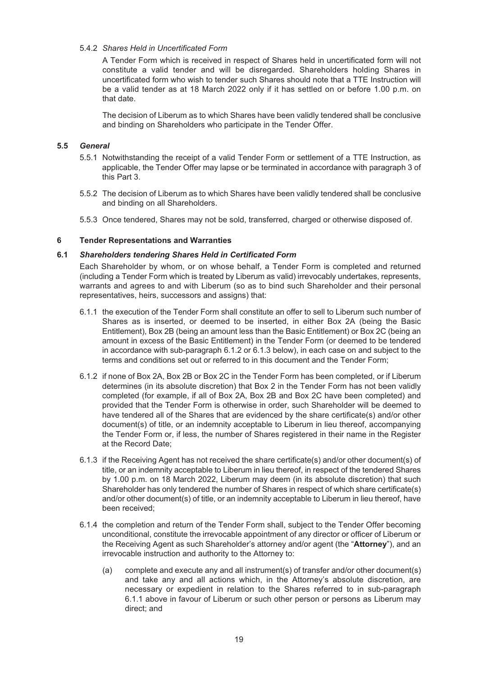#### 5.4.2 *Shares Held in Uncertificated Form*

A Tender Form which is received in respect of Shares held in uncertificated form will not constitute a valid tender and will be disregarded. Shareholders holding Shares in uncertificated form who wish to tender such Shares should note that a TTE Instruction will be a valid tender as at 18 March 2022 only if it has settled on or before 1.00 p.m. on that date.

The decision of Liberum as to which Shares have been validly tendered shall be conclusive and binding on Shareholders who participate in the Tender Offer.

#### **5.5** *General*

- 5.5.1 Notwithstanding the receipt of a valid Tender Form or settlement of a TTE Instruction, as applicable, the Tender Offer may lapse or be terminated in accordance with paragraph 3 of this Part 3.
- 5.5.2 The decision of Liberum as to which Shares have been validly tendered shall be conclusive and binding on all Shareholders.
- 5.5.3 Once tendered, Shares may not be sold, transferred, charged or otherwise disposed of.

#### **6 Tender Representations and Warranties**

#### **6.1** *Shareholders tendering Shares Held in Certificated Form*

Each Shareholder by whom, or on whose behalf, a Tender Form is completed and returned (including a Tender Form which is treated by Liberum as valid) irrevocably undertakes, represents, warrants and agrees to and with Liberum (so as to bind such Shareholder and their personal representatives, heirs, successors and assigns) that:

- 6.1.1 the execution of the Tender Form shall constitute an offer to sell to Liberum such number of Shares as is inserted, or deemed to be inserted, in either Box 2A (being the Basic Entitlement), Box 2B (being an amount less than the Basic Entitlement) or Box 2C (being an amount in excess of the Basic Entitlement) in the Tender Form (or deemed to be tendered in accordance with sub-paragraph 6.1.2 or 6.1.3 below), in each case on and subject to the terms and conditions set out or referred to in this document and the Tender Form;
- 6.1.2 if none of Box 2A, Box 2B or Box 2C in the Tender Form has been completed, or if Liberum determines (in its absolute discretion) that Box 2 in the Tender Form has not been validly completed (for example, if all of Box 2A, Box 2B and Box 2C have been completed) and provided that the Tender Form is otherwise in order, such Shareholder will be deemed to have tendered all of the Shares that are evidenced by the share certificate(s) and/or other document(s) of title, or an indemnity acceptable to Liberum in lieu thereof, accompanying the Tender Form or, if less, the number of Shares registered in their name in the Register at the Record Date;
- 6.1.3 if the Receiving Agent has not received the share certificate(s) and/or other document(s) of title, or an indemnity acceptable to Liberum in lieu thereof, in respect of the tendered Shares by 1.00 p.m. on 18 March 2022, Liberum may deem (in its absolute discretion) that such Shareholder has only tendered the number of Shares in respect of which share certificate(s) and/or other document(s) of title, or an indemnity acceptable to Liberum in lieu thereof, have been received;
- 6.1.4 the completion and return of the Tender Form shall, subject to the Tender Offer becoming unconditional, constitute the irrevocable appointment of any director or officer of Liberum or the Receiving Agent as such Shareholder's attorney and/or agent (the "**Attorney**"), and an irrevocable instruction and authority to the Attorney to:
	- (a) complete and execute any and all instrument(s) of transfer and/or other document(s) and take any and all actions which, in the Attorney's absolute discretion, are necessary or expedient in relation to the Shares referred to in sub-paragraph 6.1.1 above in favour of Liberum or such other person or persons as Liberum may direct; and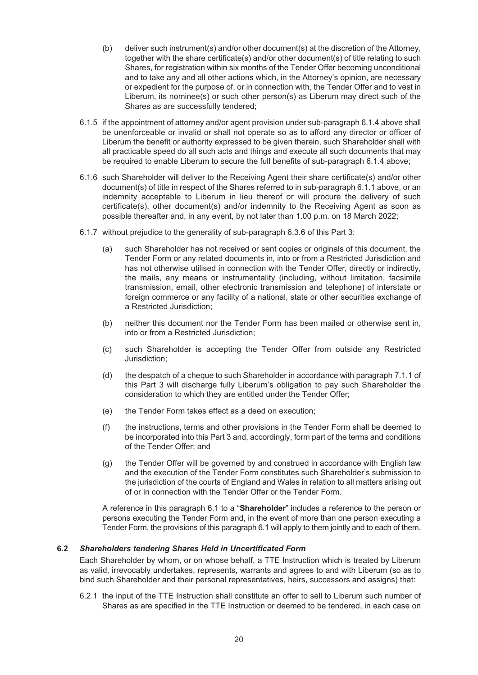- (b) deliver such instrument(s) and/or other document(s) at the discretion of the Attorney, together with the share certificate(s) and/or other document(s) of title relating to such Shares, for registration within six months of the Tender Offer becoming unconditional and to take any and all other actions which, in the Attorney's opinion, are necessary or expedient for the purpose of, or in connection with, the Tender Offer and to vest in Liberum, its nominee(s) or such other person(s) as Liberum may direct such of the Shares as are successfully tendered;
- 6.1.5 if the appointment of attorney and/or agent provision under sub-paragraph 6.1.4 above shall be unenforceable or invalid or shall not operate so as to afford any director or officer of Liberum the benefit or authority expressed to be given therein, such Shareholder shall with all practicable speed do all such acts and things and execute all such documents that may be required to enable Liberum to secure the full benefits of sub-paragraph 6.1.4 above;
- 6.1.6 such Shareholder will deliver to the Receiving Agent their share certificate(s) and/or other document(s) of title in respect of the Shares referred to in sub-paragraph 6.1.1 above, or an indemnity acceptable to Liberum in lieu thereof or will procure the delivery of such certificate(s), other document(s) and/or indemnity to the Receiving Agent as soon as possible thereafter and, in any event, by not later than 1.00 p.m. on 18 March 2022;
- 6.1.7 without prejudice to the generality of sub-paragraph 6.3.6 of this Part 3:
	- (a) such Shareholder has not received or sent copies or originals of this document, the Tender Form or any related documents in, into or from a Restricted Jurisdiction and has not otherwise utilised in connection with the Tender Offer, directly or indirectly, the mails, any means or instrumentality (including, without limitation, facsimile transmission, email, other electronic transmission and telephone) of interstate or foreign commerce or any facility of a national, state or other securities exchange of a Restricted Jurisdiction;
	- (b) neither this document nor the Tender Form has been mailed or otherwise sent in, into or from a Restricted Jurisdiction;
	- (c) such Shareholder is accepting the Tender Offer from outside any Restricted Jurisdiction;
	- (d) the despatch of a cheque to such Shareholder in accordance with paragraph 7.1.1 of this Part 3 will discharge fully Liberum's obligation to pay such Shareholder the consideration to which they are entitled under the Tender Offer;
	- (e) the Tender Form takes effect as a deed on execution;
	- (f) the instructions, terms and other provisions in the Tender Form shall be deemed to be incorporated into this Part 3 and, accordingly, form part of the terms and conditions of the Tender Offer; and
	- (g) the Tender Offer will be governed by and construed in accordance with English law and the execution of the Tender Form constitutes such Shareholder's submission to the jurisdiction of the courts of England and Wales in relation to all matters arising out of or in connection with the Tender Offer or the Tender Form.

A reference in this paragraph 6.1 to a "**Shareholder**" includes a reference to the person or persons executing the Tender Form and, in the event of more than one person executing a Tender Form, the provisions of this paragraph 6.1 will apply to them jointly and to each of them.

#### **6.2** *Shareholders tendering Shares Held in Uncertificated Form*

Each Shareholder by whom, or on whose behalf, a TTE Instruction which is treated by Liberum as valid, irrevocably undertakes, represents, warrants and agrees to and with Liberum (so as to bind such Shareholder and their personal representatives, heirs, successors and assigns) that:

6.2.1 the input of the TTE Instruction shall constitute an offer to sell to Liberum such number of Shares as are specified in the TTE Instruction or deemed to be tendered, in each case on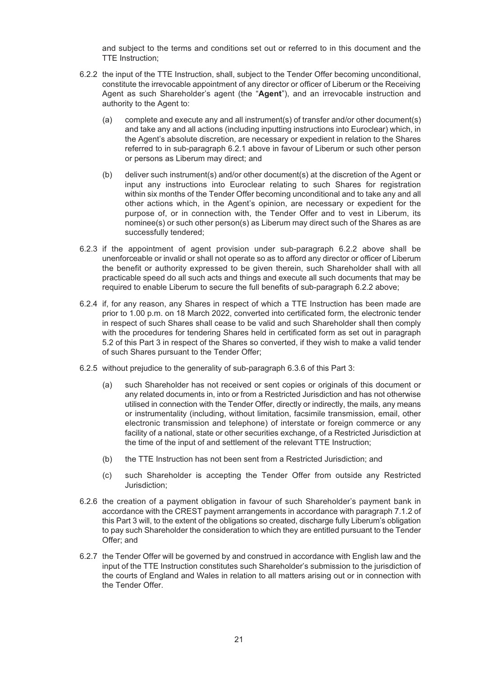and subject to the terms and conditions set out or referred to in this document and the TTE Instruction;

- 6.2.2 the input of the TTE Instruction, shall, subject to the Tender Offer becoming unconditional, constitute the irrevocable appointment of any director or officer of Liberum or the Receiving Agent as such Shareholder's agent (the "**Agent**"), and an irrevocable instruction and authority to the Agent to:
	- (a) complete and execute any and all instrument(s) of transfer and/or other document(s) and take any and all actions (including inputting instructions into Euroclear) which, in the Agent's absolute discretion, are necessary or expedient in relation to the Shares referred to in sub-paragraph 6.2.1 above in favour of Liberum or such other person or persons as Liberum may direct; and
	- (b) deliver such instrument(s) and/or other document(s) at the discretion of the Agent or input any instructions into Euroclear relating to such Shares for registration within six months of the Tender Offer becoming unconditional and to take any and all other actions which, in the Agent's opinion, are necessary or expedient for the purpose of, or in connection with, the Tender Offer and to vest in Liberum, its nominee(s) or such other person(s) as Liberum may direct such of the Shares as are successfully tendered;
- 6.2.3 if the appointment of agent provision under sub-paragraph 6.2.2 above shall be unenforceable or invalid or shall not operate so as to afford any director or officer of Liberum the benefit or authority expressed to be given therein, such Shareholder shall with all practicable speed do all such acts and things and execute all such documents that may be required to enable Liberum to secure the full benefits of sub-paragraph 6.2.2 above;
- 6.2.4 if, for any reason, any Shares in respect of which a TTE Instruction has been made are prior to 1.00 p.m. on 18 March 2022, converted into certificated form, the electronic tender in respect of such Shares shall cease to be valid and such Shareholder shall then comply with the procedures for tendering Shares held in certificated form as set out in paragraph 5.2 of this Part 3 in respect of the Shares so converted, if they wish to make a valid tender of such Shares pursuant to the Tender Offer;
- 6.2.5 without prejudice to the generality of sub-paragraph 6.3.6 of this Part 3:
	- (a) such Shareholder has not received or sent copies or originals of this document or any related documents in, into or from a Restricted Jurisdiction and has not otherwise utilised in connection with the Tender Offer, directly or indirectly, the mails, any means or instrumentality (including, without limitation, facsimile transmission, email, other electronic transmission and telephone) of interstate or foreign commerce or any facility of a national, state or other securities exchange, of a Restricted Jurisdiction at the time of the input of and settlement of the relevant TTE Instruction;
	- (b) the TTE Instruction has not been sent from a Restricted Jurisdiction; and
	- (c) such Shareholder is accepting the Tender Offer from outside any Restricted Jurisdiction;
- 6.2.6 the creation of a payment obligation in favour of such Shareholder's payment bank in accordance with the CREST payment arrangements in accordance with paragraph 7.1.2 of this Part 3 will, to the extent of the obligations so created, discharge fully Liberum's obligation to pay such Shareholder the consideration to which they are entitled pursuant to the Tender Offer; and
- 6.2.7 the Tender Offer will be governed by and construed in accordance with English law and the input of the TTE Instruction constitutes such Shareholder's submission to the jurisdiction of the courts of England and Wales in relation to all matters arising out or in connection with the Tender Offer.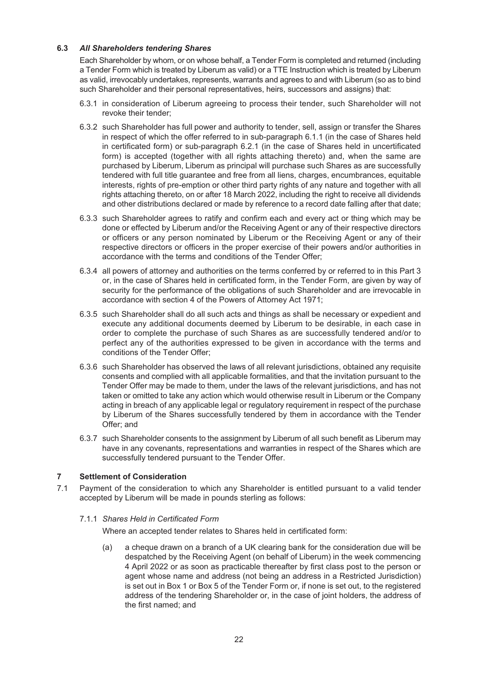#### **6.3** *All Shareholders tendering Shares*

Each Shareholder by whom, or on whose behalf, a Tender Form is completed and returned (including a Tender Form which is treated by Liberum as valid) or a TTE Instruction which is treated by Liberum as valid, irrevocably undertakes, represents, warrants and agrees to and with Liberum (so as to bind such Shareholder and their personal representatives, heirs, successors and assigns) that:

- 6.3.1 in consideration of Liberum agreeing to process their tender, such Shareholder will not revoke their tender;
- 6.3.2 such Shareholder has full power and authority to tender, sell, assign or transfer the Shares in respect of which the offer referred to in sub-paragraph 6.1.1 (in the case of Shares held in certificated form) or sub-paragraph 6.2.1 (in the case of Shares held in uncertificated form) is accepted (together with all rights attaching thereto) and, when the same are purchased by Liberum, Liberum as principal will purchase such Shares as are successfully tendered with full title guarantee and free from all liens, charges, encumbrances, equitable interests, rights of pre-emption or other third party rights of any nature and together with all rights attaching thereto, on or after 18 March 2022, including the right to receive all dividends and other distributions declared or made by reference to a record date falling after that date;
- 6.3.3 such Shareholder agrees to ratify and confirm each and every act or thing which may be done or effected by Liberum and/or the Receiving Agent or any of their respective directors or officers or any person nominated by Liberum or the Receiving Agent or any of their respective directors or officers in the proper exercise of their powers and/or authorities in accordance with the terms and conditions of the Tender Offer;
- 6.3.4 all powers of attorney and authorities on the terms conferred by or referred to in this Part 3 or, in the case of Shares held in certificated form, in the Tender Form, are given by way of security for the performance of the obligations of such Shareholder and are irrevocable in accordance with section 4 of the Powers of Attorney Act 1971;
- 6.3.5 such Shareholder shall do all such acts and things as shall be necessary or expedient and execute any additional documents deemed by Liberum to be desirable, in each case in order to complete the purchase of such Shares as are successfully tendered and/or to perfect any of the authorities expressed to be given in accordance with the terms and conditions of the Tender Offer;
- 6.3.6 such Shareholder has observed the laws of all relevant jurisdictions, obtained any requisite consents and complied with all applicable formalities, and that the invitation pursuant to the Tender Offer may be made to them, under the laws of the relevant jurisdictions, and has not taken or omitted to take any action which would otherwise result in Liberum or the Company acting in breach of any applicable legal or regulatory requirement in respect of the purchase by Liberum of the Shares successfully tendered by them in accordance with the Tender Offer; and
- 6.3.7 such Shareholder consents to the assignment by Liberum of all such benefit as Liberum may have in any covenants, representations and warranties in respect of the Shares which are successfully tendered pursuant to the Tender Offer.

#### **7 Settlement of Consideration**

7.1 Payment of the consideration to which any Shareholder is entitled pursuant to a valid tender accepted by Liberum will be made in pounds sterling as follows:

#### 7.1.1 *Shares Held in Certificated Form*

Where an accepted tender relates to Shares held in certificated form:

(a) a cheque drawn on a branch of a UK clearing bank for the consideration due will be despatched by the Receiving Agent (on behalf of Liberum) in the week commencing 4 April 2022 or as soon as practicable thereafter by first class post to the person or agent whose name and address (not being an address in a Restricted Jurisdiction) is set out in Box 1 or Box 5 of the Tender Form or, if none is set out, to the registered address of the tendering Shareholder or, in the case of joint holders, the address of the first named; and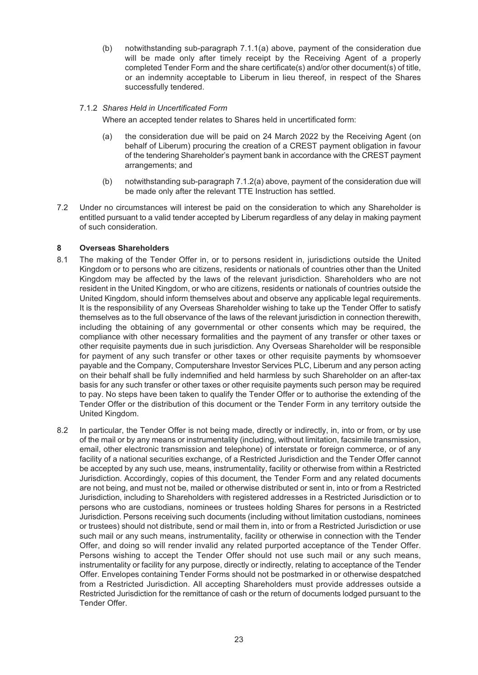(b) notwithstanding sub-paragraph 7.1.1(a) above, payment of the consideration due will be made only after timely receipt by the Receiving Agent of a properly completed Tender Form and the share certificate(s) and/or other document(s) of title, or an indemnity acceptable to Liberum in lieu thereof, in respect of the Shares successfully tendered.

#### 7.1.2 *Shares Held in Uncertificated Form*

Where an accepted tender relates to Shares held in uncertificated form:

- (a) the consideration due will be paid on 24 March 2022 by the Receiving Agent (on behalf of Liberum) procuring the creation of a CREST payment obligation in favour of the tendering Shareholder's payment bank in accordance with the CREST payment arrangements; and
- (b) notwithstanding sub-paragraph 7.1.2(a) above, payment of the consideration due will be made only after the relevant TTE Instruction has settled.
- 7.2 Under no circumstances will interest be paid on the consideration to which any Shareholder is entitled pursuant to a valid tender accepted by Liberum regardless of any delay in making payment of such consideration.

#### **8 Overseas Shareholders**

- 8.1 The making of the Tender Offer in, or to persons resident in, jurisdictions outside the United Kingdom or to persons who are citizens, residents or nationals of countries other than the United Kingdom may be affected by the laws of the relevant jurisdiction. Shareholders who are not resident in the United Kingdom, or who are citizens, residents or nationals of countries outside the United Kingdom, should inform themselves about and observe any applicable legal requirements. It is the responsibility of any Overseas Shareholder wishing to take up the Tender Offer to satisfy themselves as to the full observance of the laws of the relevant jurisdiction in connection therewith, including the obtaining of any governmental or other consents which may be required, the compliance with other necessary formalities and the payment of any transfer or other taxes or other requisite payments due in such jurisdiction. Any Overseas Shareholder will be responsible for payment of any such transfer or other taxes or other requisite payments by whomsoever payable and the Company, Computershare Investor Services PLC, Liberum and any person acting on their behalf shall be fully indemnified and held harmless by such Shareholder on an after-tax basis for any such transfer or other taxes or other requisite payments such person may be required to pay. No steps have been taken to qualify the Tender Offer or to authorise the extending of the Tender Offer or the distribution of this document or the Tender Form in any territory outside the United Kingdom.
- 8.2 In particular, the Tender Offer is not being made, directly or indirectly, in, into or from, or by use of the mail or by any means or instrumentality (including, without limitation, facsimile transmission, email, other electronic transmission and telephone) of interstate or foreign commerce, or of any facility of a national securities exchange, of a Restricted Jurisdiction and the Tender Offer cannot be accepted by any such use, means, instrumentality, facility or otherwise from within a Restricted Jurisdiction. Accordingly, copies of this document, the Tender Form and any related documents are not being, and must not be, mailed or otherwise distributed or sent in, into or from a Restricted Jurisdiction, including to Shareholders with registered addresses in a Restricted Jurisdiction or to persons who are custodians, nominees or trustees holding Shares for persons in a Restricted Jurisdiction. Persons receiving such documents (including without limitation custodians, nominees or trustees) should not distribute, send or mail them in, into or from a Restricted Jurisdiction or use such mail or any such means, instrumentality, facility or otherwise in connection with the Tender Offer, and doing so will render invalid any related purported acceptance of the Tender Offer. Persons wishing to accept the Tender Offer should not use such mail or any such means, instrumentality or facility for any purpose, directly or indirectly, relating to acceptance of the Tender Offer. Envelopes containing Tender Forms should not be postmarked in or otherwise despatched from a Restricted Jurisdiction. All accepting Shareholders must provide addresses outside a Restricted Jurisdiction for the remittance of cash or the return of documents lodged pursuant to the Tender Offer.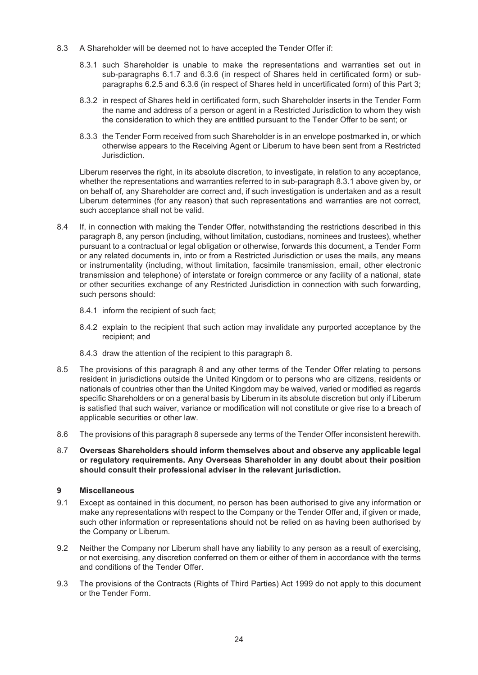- 8.3 A Shareholder will be deemed not to have accepted the Tender Offer if:
	- 8.3.1 such Shareholder is unable to make the representations and warranties set out in sub-paragraphs 6.1.7 and 6.3.6 (in respect of Shares held in certificated form) or subparagraphs 6.2.5 and 6.3.6 (in respect of Shares held in uncertificated form) of this Part 3;
	- 8.3.2 in respect of Shares held in certificated form, such Shareholder inserts in the Tender Form the name and address of a person or agent in a Restricted Jurisdiction to whom they wish the consideration to which they are entitled pursuant to the Tender Offer to be sent; or
	- 8.3.3 the Tender Form received from such Shareholder is in an envelope postmarked in, or which otherwise appears to the Receiving Agent or Liberum to have been sent from a Restricted Jurisdiction.

Liberum reserves the right, in its absolute discretion, to investigate, in relation to any acceptance, whether the representations and warranties referred to in sub-paragraph 8.3.1 above given by, or on behalf of, any Shareholder are correct and, if such investigation is undertaken and as a result Liberum determines (for any reason) that such representations and warranties are not correct, such acceptance shall not be valid.

- 8.4 If, in connection with making the Tender Offer, notwithstanding the restrictions described in this paragraph 8, any person (including, without limitation, custodians, nominees and trustees), whether pursuant to a contractual or legal obligation or otherwise, forwards this document, a Tender Form or any related documents in, into or from a Restricted Jurisdiction or uses the mails, any means or instrumentality (including, without limitation, facsimile transmission, email, other electronic transmission and telephone) of interstate or foreign commerce or any facility of a national, state or other securities exchange of any Restricted Jurisdiction in connection with such forwarding, such persons should:
	- 8.4.1 inform the recipient of such fact;
	- 8.4.2 explain to the recipient that such action may invalidate any purported acceptance by the recipient; and
	- 8.4.3 draw the attention of the recipient to this paragraph 8.
- 8.5 The provisions of this paragraph 8 and any other terms of the Tender Offer relating to persons resident in jurisdictions outside the United Kingdom or to persons who are citizens, residents or nationals of countries other than the United Kingdom may be waived, varied or modified as regards specific Shareholders or on a general basis by Liberum in its absolute discretion but only if Liberum is satisfied that such waiver, variance or modification will not constitute or give rise to a breach of applicable securities or other law.
- 8.6 The provisions of this paragraph 8 supersede any terms of the Tender Offer inconsistent herewith.
- 8.7 **Overseas Shareholders should inform themselves about and observe any applicable legal or regulatory requirements. Any Overseas Shareholder in any doubt about their position should consult their professional adviser in the relevant jurisdiction.**

#### **9 Miscellaneous**

- 9.1 Except as contained in this document, no person has been authorised to give any information or make any representations with respect to the Company or the Tender Offer and, if given or made, such other information or representations should not be relied on as having been authorised by the Company or Liberum.
- 9.2 Neither the Company nor Liberum shall have any liability to any person as a result of exercising, or not exercising, any discretion conferred on them or either of them in accordance with the terms and conditions of the Tender Offer.
- 9.3 The provisions of the Contracts (Rights of Third Parties) Act 1999 do not apply to this document or the Tender Form.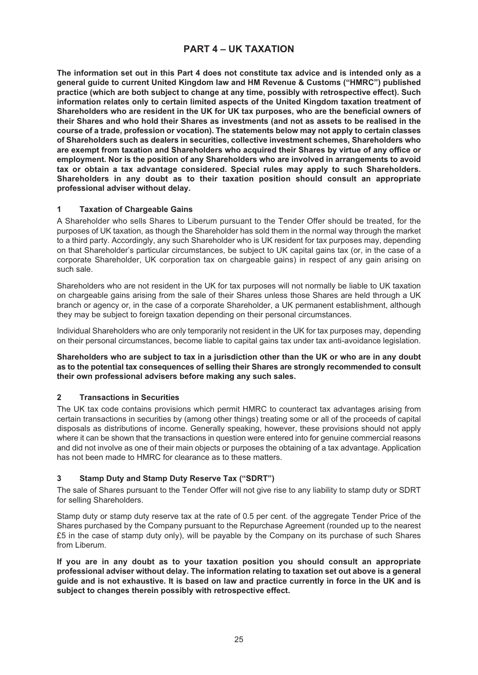### **PART 4 – UK TAXATION**

The information set out in this Part 4 does not constitute tax advice and is intended only as a **general guide to current United Kingdom law and HM Revenue & Customs ("HMRC") published practice (which are both subject to change at any time, possibly with retrospective effect). Such information relates only to certain limited aspects of the United Kingdom taxation treatment of Shareholders who are resident in the UK for UK tax purposes, who are the beneficial owners of their Shares and who hold their Shares as investments (and not as assets to be realised in the course of a trade, profession or vocation). The statements below may not apply to certain classes of Shareholders such as dealers in securities, collective investment schemes, Shareholders who are exempt from taxation and Shareholders who acquired their Shares by virtue of any office or employment. Nor is the position of any Shareholders who are involved in arrangements to avoid tax or obtain a tax advantage considered. Special rules may apply to such Shareholders. Shareholders in any doubt as to their taxation position should consult an appropriate professional adviser without delay.**

#### **1 Taxation of Chargeable Gains**

A Shareholder who sells Shares to Liberum pursuant to the Tender Offer should be treated, for the purposes of UK taxation, as though the Shareholder has sold them in the normal way through the market to a third party. Accordingly, any such Shareholder who is UK resident for tax purposes may, depending on that Shareholder's particular circumstances, be subject to UK capital gains tax (or, in the case of a corporate Shareholder, UK corporation tax on chargeable gains) in respect of any gain arising on such sale.

Shareholders who are not resident in the UK for tax purposes will not normally be liable to UK taxation on chargeable gains arising from the sale of their Shares unless those Shares are held through a UK branch or agency or, in the case of a corporate Shareholder, a UK permanent establishment, although they may be subject to foreign taxation depending on their personal circumstances.

Individual Shareholders who are only temporarily not resident in the UK for tax purposes may, depending on their personal circumstances, become liable to capital gains tax under tax anti-avoidance legislation.

#### Shareholders who are subject to tax in a jurisdiction other than the UK or who are in any doubt **as to the potential tax consequences of selling their Shares are strongly recommended to consult their own professional advisers before making any such sales.**

#### **2 Transactions in Securities**

The UK tax code contains provisions which permit HMRC to counteract tax advantages arising from certain transactions in securities by (among other things) treating some or all of the proceeds of capital disposals as distributions of income. Generally speaking, however, these provisions should not apply where it can be shown that the transactions in question were entered into for genuine commercial reasons and did not involve as one of their main objects or purposes the obtaining of a tax advantage. Application has not been made to HMRC for clearance as to these matters.

### **3 Stamp Duty and Stamp Duty Reserve Tax ("SDRT")**

The sale of Shares pursuant to the Tender Offer will not give rise to any liability to stamp duty or SDRT for selling Shareholders.

Stamp duty or stamp duty reserve tax at the rate of 0.5 per cent. of the aggregate Tender Price of the Shares purchased by the Company pursuant to the Repurchase Agreement (rounded up to the nearest £5 in the case of stamp duty only), will be payable by the Company on its purchase of such Shares from Liberum.

**If you are in any doubt as to your taxation position you should consult an appropriate professional adviser without delay. The information relating to taxation set out above is a general** guide and is not exhaustive. It is based on law and practice currently in force in the UK and is **subject to changes therein possibly with retrospective effect.**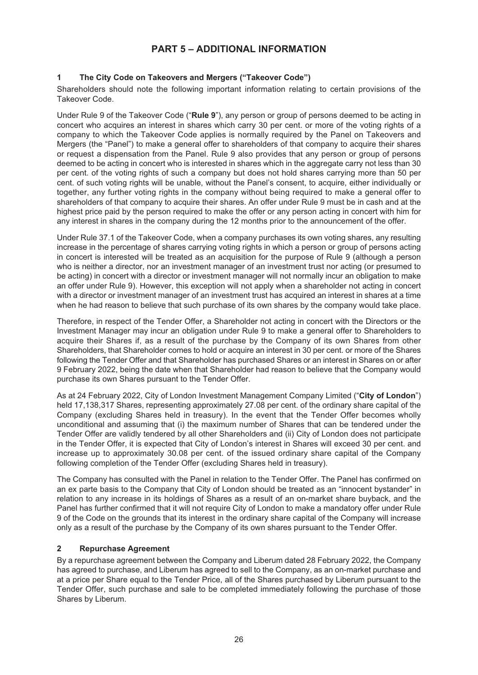### **PART 5 – ADDITIONAL INFORMATION**

### **1 The City Code on Takeovers and Mergers ("Takeover Code")**

Shareholders should note the following important information relating to certain provisions of the Takeover Code.

Under Rule 9 of the Takeover Code ("**Rule 9**"), any person or group of persons deemed to be acting in concert who acquires an interest in shares which carry 30 per cent. or more of the voting rights of a company to which the Takeover Code applies is normally required by the Panel on Takeovers and Mergers (the "Panel") to make a general offer to shareholders of that company to acquire their shares or request a dispensation from the Panel. Rule 9 also provides that any person or group of persons deemed to be acting in concert who is interested in shares which in the aggregate carry not less than 30 per cent. of the voting rights of such a company but does not hold shares carrying more than 50 per cent. of such voting rights will be unable, without the Panel's consent, to acquire, either individually or together, any further voting rights in the company without being required to make a general offer to shareholders of that company to acquire their shares. An offer under Rule 9 must be in cash and at the highest price paid by the person required to make the offer or any person acting in concert with him for any interest in shares in the company during the 12 months prior to the announcement of the offer.

Under Rule 37.1 of the Takeover Code, when a company purchases its own voting shares, any resulting increase in the percentage of shares carrying voting rights in which a person or group of persons acting in concert is interested will be treated as an acquisition for the purpose of Rule 9 (although a person who is neither a director, nor an investment manager of an investment trust nor acting (or presumed to be acting) in concert with a director or investment manager will not normally incur an obligation to make an offer under Rule 9). However, this exception will not apply when a shareholder not acting in concert with a director or investment manager of an investment trust has acquired an interest in shares at a time when he had reason to believe that such purchase of its own shares by the company would take place.

Therefore, in respect of the Tender Offer, a Shareholder not acting in concert with the Directors or the Investment Manager may incur an obligation under Rule 9 to make a general offer to Shareholders to acquire their Shares if, as a result of the purchase by the Company of its own Shares from other Shareholders, that Shareholder comes to hold or acquire an interest in 30 per cent. or more of the Shares following the Tender Offer and that Shareholder has purchased Shares or an interest in Shares on or after 9 February 2022, being the date when that Shareholder had reason to believe that the Company would purchase its own Shares pursuant to the Tender Offer.

As at 24 February 2022, City of London Investment Management Company Limited ("**City of London**") held 17,138,317 Shares, representing approximately 27.08 per cent. of the ordinary share capital of the Company (excluding Shares held in treasury). In the event that the Tender Offer becomes wholly unconditional and assuming that (i) the maximum number of Shares that can be tendered under the Tender Offer are validly tendered by all other Shareholders and (ii) City of London does not participate in the Tender Offer, it is expected that City of London's interest in Shares will exceed 30 per cent. and increase up to approximately 30.08 per cent. of the issued ordinary share capital of the Company following completion of the Tender Offer (excluding Shares held in treasury).

The Company has consulted with the Panel in relation to the Tender Offer. The Panel has confirmed on an ex parte basis to the Company that City of London should be treated as an "innocent bystander" in relation to any increase in its holdings of Shares as a result of an on-market share buyback, and the Panel has further confirmed that it will not require City of London to make a mandatory offer under Rule 9 of the Code on the grounds that its interest in the ordinary share capital of the Company will increase only as a result of the purchase by the Company of its own shares pursuant to the Tender Offer.

#### **2 Repurchase Agreement**

By a repurchase agreement between the Company and Liberum dated 28 February 2022, the Company has agreed to purchase, and Liberum has agreed to sell to the Company, as an on-market purchase and at a price per Share equal to the Tender Price, all of the Shares purchased by Liberum pursuant to the Tender Offer, such purchase and sale to be completed immediately following the purchase of those Shares by Liberum.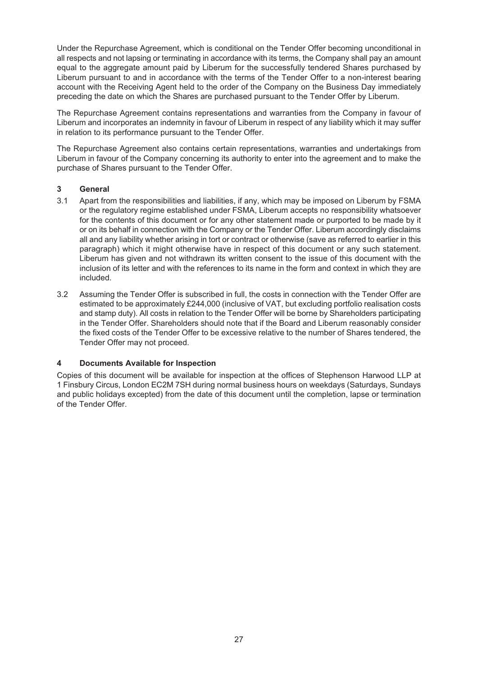Under the Repurchase Agreement, which is conditional on the Tender Offer becoming unconditional in all respects and not lapsing or terminating in accordance with its terms, the Company shall pay an amount equal to the aggregate amount paid by Liberum for the successfully tendered Shares purchased by Liberum pursuant to and in accordance with the terms of the Tender Offer to a non-interest bearing account with the Receiving Agent held to the order of the Company on the Business Day immediately preceding the date on which the Shares are purchased pursuant to the Tender Offer by Liberum.

The Repurchase Agreement contains representations and warranties from the Company in favour of Liberum and incorporates an indemnity in favour of Liberum in respect of any liability which it may suffer in relation to its performance pursuant to the Tender Offer.

The Repurchase Agreement also contains certain representations, warranties and undertakings from Liberum in favour of the Company concerning its authority to enter into the agreement and to make the purchase of Shares pursuant to the Tender Offer.

### **3 General**

- 3.1 Apart from the responsibilities and liabilities, if any, which may be imposed on Liberum by FSMA or the regulatory regime established under FSMA, Liberum accepts no responsibility whatsoever for the contents of this document or for any other statement made or purported to be made by it or on its behalf in connection with the Company or the Tender Offer. Liberum accordingly disclaims all and any liability whether arising in tort or contract or otherwise (save as referred to earlier in this paragraph) which it might otherwise have in respect of this document or any such statement. Liberum has given and not withdrawn its written consent to the issue of this document with the inclusion of its letter and with the references to its name in the form and context in which they are included.
- 3.2 Assuming the Tender Offer is subscribed in full, the costs in connection with the Tender Offer are estimated to be approximately £244,000 (inclusive of VAT, but excluding portfolio realisation costs and stamp duty). All costs in relation to the Tender Offer will be borne by Shareholders participating in the Tender Offer. Shareholders should note that if the Board and Liberum reasonably consider the fixed costs of the Tender Offer to be excessive relative to the number of Shares tendered, the Tender Offer may not proceed.

#### **4 Documents Available for Inspection**

Copies of this document will be available for inspection at the offices of Stephenson Harwood LLP at 1 Finsbury Circus, London EC2M 7SH during normal business hours on weekdays (Saturdays, Sundays and public holidays excepted) from the date of this document until the completion, lapse or termination of the Tender Offer.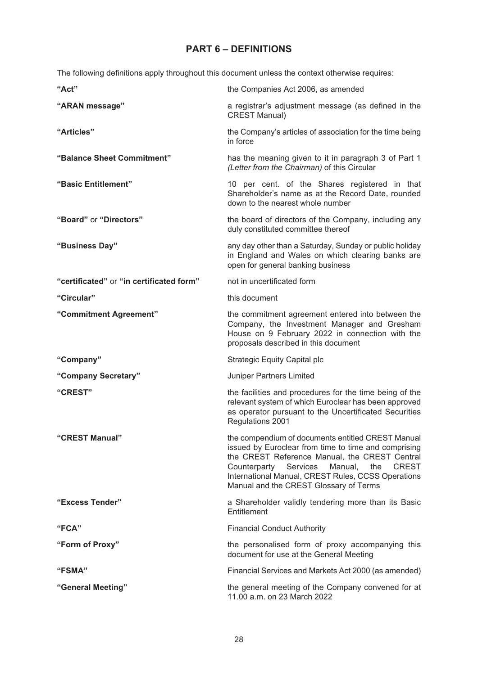## **PART 6 – DEFINITIONS**

The following definitions apply throughout this document unless the context otherwise requires:

| "Act"                                    | the Companies Act 2006, as amended                                                                                                                                                                                                                                                                                       |
|------------------------------------------|--------------------------------------------------------------------------------------------------------------------------------------------------------------------------------------------------------------------------------------------------------------------------------------------------------------------------|
| "ARAN message"                           | a registrar's adjustment message (as defined in the<br><b>CREST Manual)</b>                                                                                                                                                                                                                                              |
| "Articles"                               | the Company's articles of association for the time being<br>in force                                                                                                                                                                                                                                                     |
| "Balance Sheet Commitment"               | has the meaning given to it in paragraph 3 of Part 1<br>(Letter from the Chairman) of this Circular                                                                                                                                                                                                                      |
| "Basic Entitlement"                      | 10 per cent. of the Shares registered in that<br>Shareholder's name as at the Record Date, rounded<br>down to the nearest whole number                                                                                                                                                                                   |
| "Board" or "Directors"                   | the board of directors of the Company, including any<br>duly constituted committee thereof                                                                                                                                                                                                                               |
| "Business Day"                           | any day other than a Saturday, Sunday or public holiday<br>in England and Wales on which clearing banks are<br>open for general banking business                                                                                                                                                                         |
| "certificated" or "in certificated form" | not in uncertificated form                                                                                                                                                                                                                                                                                               |
| "Circular"                               | this document                                                                                                                                                                                                                                                                                                            |
| "Commitment Agreement"                   | the commitment agreement entered into between the<br>Company, the Investment Manager and Gresham<br>House on 9 February 2022 in connection with the<br>proposals described in this document                                                                                                                              |
| "Company"                                | <b>Strategic Equity Capital plc</b>                                                                                                                                                                                                                                                                                      |
| "Company Secretary"                      | Juniper Partners Limited                                                                                                                                                                                                                                                                                                 |
| "CREST"                                  | the facilities and procedures for the time being of the<br>relevant system of which Euroclear has been approved<br>as operator pursuant to the Uncertificated Securities<br>Regulations 2001                                                                                                                             |
| "CREST Manual"                           | the compendium of documents entitled CREST Manual<br>issued by Euroclear from time to time and comprising<br>the CREST Reference Manual, the CREST Central<br>Services<br>Manual,<br>the<br><b>CREST</b><br>Counterparty<br>International Manual, CREST Rules, CCSS Operations<br>Manual and the CREST Glossary of Terms |
| "Excess Tender"                          | a Shareholder validly tendering more than its Basic<br>Entitlement                                                                                                                                                                                                                                                       |
| "FCA"                                    | <b>Financial Conduct Authority</b>                                                                                                                                                                                                                                                                                       |
| "Form of Proxy"                          | the personalised form of proxy accompanying this<br>document for use at the General Meeting                                                                                                                                                                                                                              |
| <b>"FSMA"</b>                            | Financial Services and Markets Act 2000 (as amended)                                                                                                                                                                                                                                                                     |
| "General Meeting"                        | the general meeting of the Company convened for at<br>11.00 a.m. on 23 March 2022                                                                                                                                                                                                                                        |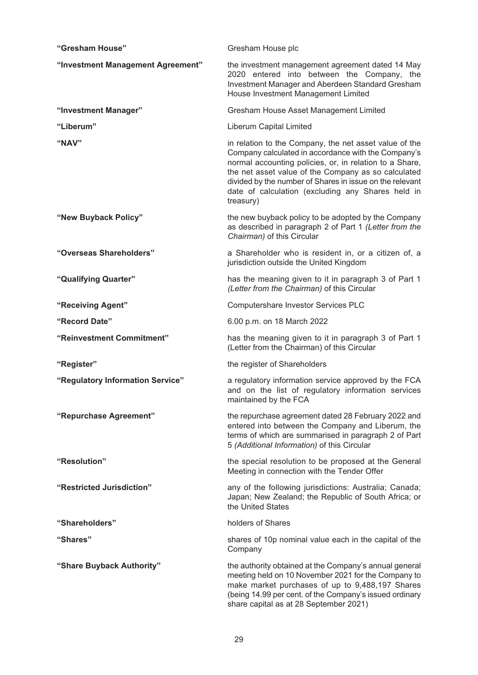| "Gresham House"                   | Gresham House plc                                                                                                                                                                                                                                                                                                                                             |
|-----------------------------------|---------------------------------------------------------------------------------------------------------------------------------------------------------------------------------------------------------------------------------------------------------------------------------------------------------------------------------------------------------------|
| "Investment Management Agreement" | the investment management agreement dated 14 May<br>2020 entered into between the Company, the<br>Investment Manager and Aberdeen Standard Gresham<br>House Investment Management Limited                                                                                                                                                                     |
| "Investment Manager"              | Gresham House Asset Management Limited                                                                                                                                                                                                                                                                                                                        |
| "Liberum"                         | Liberum Capital Limited                                                                                                                                                                                                                                                                                                                                       |
| "NAV"                             | in relation to the Company, the net asset value of the<br>Company calculated in accordance with the Company's<br>normal accounting policies, or, in relation to a Share,<br>the net asset value of the Company as so calculated<br>divided by the number of Shares in issue on the relevant<br>date of calculation (excluding any Shares held in<br>treasury) |
| "New Buyback Policy"              | the new buyback policy to be adopted by the Company<br>as described in paragraph 2 of Part 1 (Letter from the<br>Chairman) of this Circular                                                                                                                                                                                                                   |
| "Overseas Shareholders"           | a Shareholder who is resident in, or a citizen of, a<br>jurisdiction outside the United Kingdom                                                                                                                                                                                                                                                               |
| "Qualifying Quarter"              | has the meaning given to it in paragraph 3 of Part 1<br>(Letter from the Chairman) of this Circular                                                                                                                                                                                                                                                           |
| "Receiving Agent"                 | Computershare Investor Services PLC                                                                                                                                                                                                                                                                                                                           |
| "Record Date"                     | 6.00 p.m. on 18 March 2022                                                                                                                                                                                                                                                                                                                                    |
| "Reinvestment Commitment"         | has the meaning given to it in paragraph 3 of Part 1<br>(Letter from the Chairman) of this Circular                                                                                                                                                                                                                                                           |
| "Register"                        | the register of Shareholders                                                                                                                                                                                                                                                                                                                                  |
| "Regulatory Information Service"  | a regulatory information service approved by the FCA<br>and on the list of regulatory information services<br>maintained by the FCA                                                                                                                                                                                                                           |
| "Repurchase Agreement"            | the repurchase agreement dated 28 February 2022 and<br>entered into between the Company and Liberum, the<br>terms of which are summarised in paragraph 2 of Part<br>5 (Additional Information) of this Circular                                                                                                                                               |
| "Resolution"                      | the special resolution to be proposed at the General<br>Meeting in connection with the Tender Offer                                                                                                                                                                                                                                                           |
| "Restricted Jurisdiction"         | any of the following jurisdictions: Australia; Canada;<br>Japan; New Zealand; the Republic of South Africa; or<br>the United States                                                                                                                                                                                                                           |
| "Shareholders"                    | holders of Shares                                                                                                                                                                                                                                                                                                                                             |
| "Shares"                          | shares of 10p nominal value each in the capital of the<br>Company                                                                                                                                                                                                                                                                                             |
| "Share Buyback Authority"         | the authority obtained at the Company's annual general<br>meeting held on 10 November 2021 for the Company to<br>make market purchases of up to 9,488,197 Shares<br>(being 14.99 per cent. of the Company's issued ordinary<br>share capital as at 28 September 2021)                                                                                         |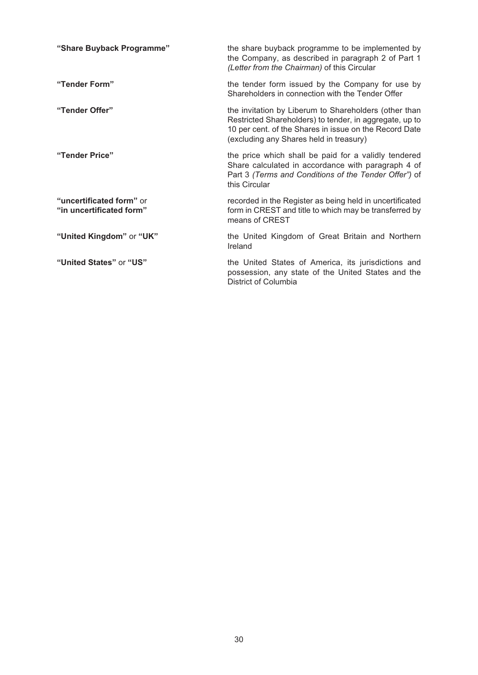| "Share Buyback Programme"                            | the share buyback programme to be implemented by<br>the Company, as described in paragraph 2 of Part 1<br>(Letter from the Chairman) of this Circular                                                                 |
|------------------------------------------------------|-----------------------------------------------------------------------------------------------------------------------------------------------------------------------------------------------------------------------|
| "Tender Form"                                        | the tender form issued by the Company for use by<br>Shareholders in connection with the Tender Offer                                                                                                                  |
| "Tender Offer"                                       | the invitation by Liberum to Shareholders (other than<br>Restricted Shareholders) to tender, in aggregate, up to<br>10 per cent. of the Shares in issue on the Record Date<br>(excluding any Shares held in treasury) |
| "Tender Price"                                       | the price which shall be paid for a validly tendered<br>Share calculated in accordance with paragraph 4 of<br>Part 3 (Terms and Conditions of the Tender Offer") of<br>this Circular                                  |
| "uncertificated form" or<br>"in uncertificated form" | recorded in the Register as being held in uncertificated<br>form in CREST and title to which may be transferred by<br>means of CREST                                                                                  |
| "United Kingdom" or "UK"                             | the United Kingdom of Great Britain and Northern<br>Ireland                                                                                                                                                           |
| "United States" or "US"                              | the United States of America, its jurisdictions and<br>possession, any state of the United States and the<br>District of Columbia                                                                                     |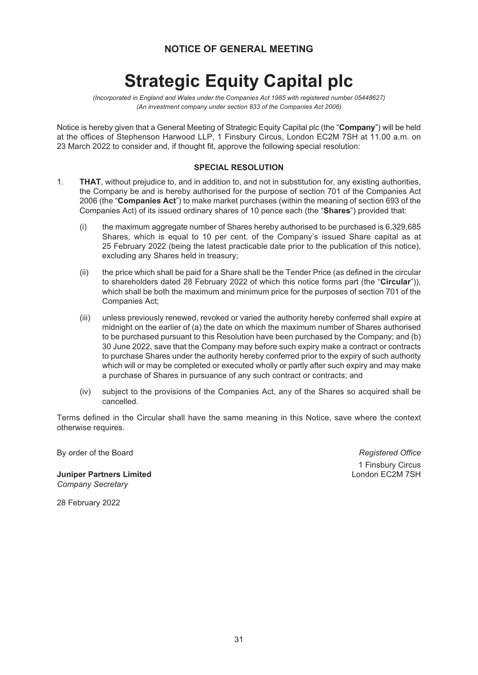### **NOTICE OF GENERAL MEETING**

# **Strategic Equity Capital plc**

*(Incorporated in England and Wales under the Companies Act 1985 with registered number 05448627) (An investment company under section 833 of the Companies Act 2006)*

Notice is hereby given that a General Meeting of Strategic Equity Capital plc (the "**Company**") will be held at the offices of Stephenson Harwood LLP, 1 Finsbury Circus, London EC2M 7SH at 11.00 a.m. on 23 March 2022 to consider and, if thought fit, approve the following special resolution:

#### **SPECIAL RESOLUTION**

- 1. **THAT**, without prejudice to, and in addition to, and not in substitution for, any existing authorities, the Company be and is hereby authorised for the purpose of section 701 of the Companies Act 2006 (the "**Companies Act**") to make market purchases (within the meaning of section 693 of the Companies Act) of its issued ordinary shares of 10 pence each (the "**Shares**") provided that:
	- (i) the maximum aggregate number of Shares hereby authorised to be purchased is 6,329,685 Shares, which is equal to 10 per cent. of the Company's issued Share capital as at 25 February 2022 (being the latest practicable date prior to the publication of this notice), excluding any Shares held in treasury;
	- (ii) the price which shall be paid for a Share shall be the Tender Price (as defined in the circular to shareholders dated 28 February 2022 of which this notice forms part (the "**Circular**")), which shall be both the maximum and minimum price for the purposes of section 701 of the Companies Act;
	- (iii) unless previously renewed, revoked or varied the authority hereby conferred shall expire at midnight on the earlier of (a) the date on which the maximum number of Shares authorised to be purchased pursuant to this Resolution have been purchased by the Company; and (b) 30 June 2022, save that the Company may before such expiry make a contract or contracts to purchase Shares under the authority hereby conferred prior to the expiry of such authority which will or may be completed or executed wholly or partly after such expiry and may make a purchase of Shares in pursuance of any such contract or contracts; and
	- (iv) subject to the provisions of the Companies Act, any of the Shares so acquired shall be cancelled.

Terms defined in the Circular shall have the same meaning in this Notice, save where the context otherwise requires.

By order of the Board *Registered Office*

**Juniper Partners Limited** London EC2M 7SH *Company Secretary*

1 Finsbury Circus

28 February 2022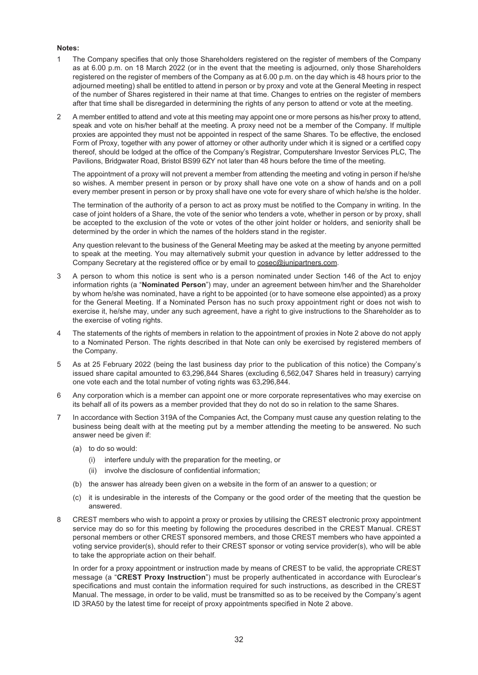#### **Notes:**

- 1 The Company specifies that only those Shareholders registered on the register of members of the Company as at 6.00 p.m. on 18 March 2022 (or in the event that the meeting is adjourned, only those Shareholders registered on the register of members of the Company as at 6.00 p.m. on the day which is 48 hours prior to the adjourned meeting) shall be entitled to attend in person or by proxy and vote at the General Meeting in respect of the number of Shares registered in their name at that time. Changes to entries on the register of members after that time shall be disregarded in determining the rights of any person to attend or vote at the meeting.
- 2 A member entitled to attend and vote at this meeting may appoint one or more persons as his/her proxy to attend, speak and vote on his/her behalf at the meeting. A proxy need not be a member of the Company. If multiple proxies are appointed they must not be appointed in respect of the same Shares. To be effective, the enclosed Form of Proxy, together with any power of attorney or other authority under which it is signed or a certified copy thereof, should be lodged at the office of the Company's Registrar, Computershare Investor Services PLC, The Pavilions, Bridgwater Road, Bristol BS99 6ZY not later than 48 hours before the time of the meeting.

The appointment of a proxy will not prevent a member from attending the meeting and voting in person if he/she so wishes. A member present in person or by proxy shall have one vote on a show of hands and on a poll every member present in person or by proxy shall have one vote for every share of which he/she is the holder.

The termination of the authority of a person to act as proxy must be notified to the Company in writing. In the case of joint holders of a Share, the vote of the senior who tenders a vote, whether in person or by proxy, shall be accepted to the exclusion of the vote or votes of the other joint holder or holders, and seniority shall be determined by the order in which the names of the holders stand in the register.

Any question relevant to the business of the General Meeting may be asked at the meeting by anyone permitted to speak at the meeting. You may alternatively submit your question in advance by letter addressed to the Company Secretary at the registered office or by email to cosec@junipartners.com.

- 3 A person to whom this notice is sent who is a person nominated under Section 146 of the Act to enjoy information rights (a "**Nominated Person**") may, under an agreement between him/her and the Shareholder by whom he/she was nominated, have a right to be appointed (or to have someone else appointed) as a proxy for the General Meeting. If a Nominated Person has no such proxy appointment right or does not wish to exercise it, he/she may, under any such agreement, have a right to give instructions to the Shareholder as to the exercise of voting rights.
- 4 The statements of the rights of members in relation to the appointment of proxies in Note 2 above do not apply to a Nominated Person. The rights described in that Note can only be exercised by registered members of the Company.
- 5 As at 25 February 2022 (being the last business day prior to the publication of this notice) the Company's issued share capital amounted to 63,296,844 Shares (excluding 6,562,047 Shares held in treasury) carrying one vote each and the total number of voting rights was 63,296,844.
- 6 Any corporation which is a member can appoint one or more corporate representatives who may exercise on its behalf all of its powers as a member provided that they do not do so in relation to the same Shares.
- 7 In accordance with Section 319A of the Companies Act, the Company must cause any question relating to the business being dealt with at the meeting put by a member attending the meeting to be answered. No such answer need be given if:
	- (a) to do so would:
		- (i) interfere unduly with the preparation for the meeting, or
		- (ii) involve the disclosure of confidential information;
	- (b) the answer has already been given on a website in the form of an answer to a question; or
	- (c) it is undesirable in the interests of the Company or the good order of the meeting that the question be answered.
- 8 CREST members who wish to appoint a proxy or proxies by utilising the CREST electronic proxy appointment service may do so for this meeting by following the procedures described in the CREST Manual. CREST personal members or other CREST sponsored members, and those CREST members who have appointed a voting service provider(s), should refer to their CREST sponsor or voting service provider(s), who will be able to take the appropriate action on their behalf.

In order for a proxy appointment or instruction made by means of CREST to be valid, the appropriate CREST message (a "**CREST Proxy Instruction**") must be properly authenticated in accordance with Euroclear's specifications and must contain the information required for such instructions, as described in the CREST Manual. The message, in order to be valid, must be transmitted so as to be received by the Company's agent ID 3RA50 by the latest time for receipt of proxy appointments specified in Note 2 above.